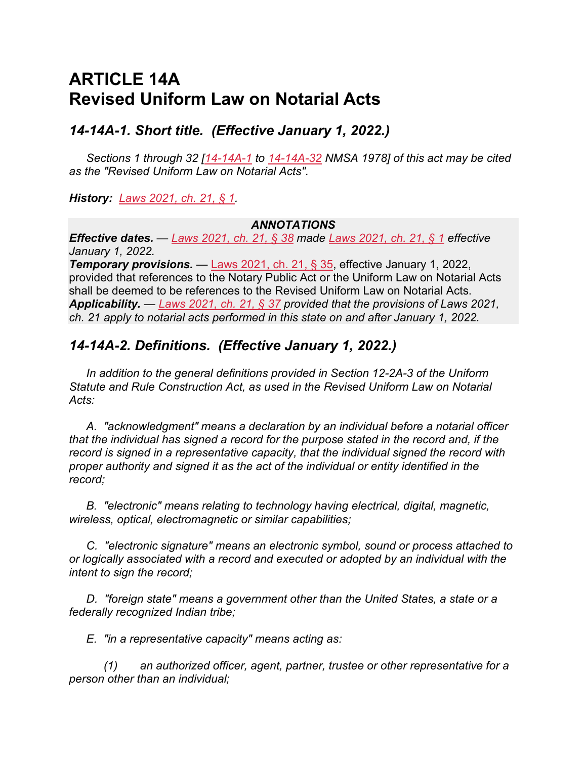## **ARTICLE 14A Revised Uniform Law on Notarial Acts**

## *14-14A-1. Short title. (Effective January 1, 2022.)*

*Sections 1 through 32 [\[14-14A-1](https://nmonesource.com/nmos/nmsa/en/item/4383/index.do#!b/14-14A-1) to [14-14A-32](https://nmonesource.com/nmos/nmsa/en/item/4383/index.do#!b/14-14A-32) NMSA 1978] of this act may be cited as the "Revised Uniform Law on Notarial Acts".*

*History: [Laws 2021, ch. 21, § 1.](https://nmonesource.com/nmos/nmsl/en/item/18129/index.do#!b/c21s1)*

#### *ANNOTATIONS*

*Effective dates. — [Laws 2021, ch. 21, § 38](https://nmonesource.com/nmos/nmsl/en/item/18129/index.do#!b/c21s38) made [Laws 2021, ch. 21, § 1](https://nmonesource.com/nmos/nmsl/en/item/18129/index.do#!b/c21s1) effective January 1, 2022.*

*Temporary provisions. —* [Laws 2021, ch. 21, § 35,](https://nmonesource.com/nmos/nmsl/en/item/18129/index.do#!b/c21s35) effective January 1, 2022, provided that references to the Notary Public Act or the Uniform Law on Notarial Acts shall be deemed to be references to the Revised Uniform Law on Notarial Acts. *Applicability. — [Laws 2021, ch. 21, § 37](https://nmonesource.com/nmos/nmsl/en/item/18129/index.do#!b/c21s37) provided that the provisions of Laws 2021, ch. 21 apply to notarial acts performed in this state on and after January 1, 2022.*

## *14-14A-2. Definitions. (Effective January 1, 2022.)*

*In addition to the general definitions provided in Section 12-2A-3 of the Uniform Statute and Rule Construction Act, as used in the Revised Uniform Law on Notarial Acts:*

*A. "acknowledgment" means a declaration by an individual before a notarial officer that the individual has signed a record for the purpose stated in the record and, if the record is signed in a representative capacity, that the individual signed the record with proper authority and signed it as the act of the individual or entity identified in the record;*

*B. "electronic" means relating to technology having electrical, digital, magnetic, wireless, optical, electromagnetic or similar capabilities;*

*C. "electronic signature" means an electronic symbol, sound or process attached to or logically associated with a record and executed or adopted by an individual with the intent to sign the record;*

*D. "foreign state" means a government other than the United States, a state or a federally recognized Indian tribe;*

*E. "in a representative capacity" means acting as:*

*(1) an authorized officer, agent, partner, trustee or other representative for a person other than an individual;*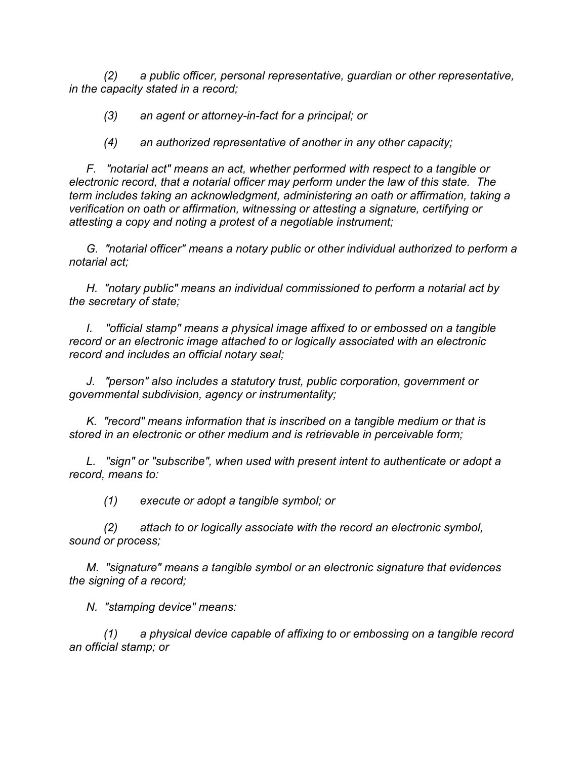*(2) a public officer, personal representative, guardian or other representative, in the capacity stated in a record;*

*(3) an agent or attorney-in-fact for a principal; or*

*(4) an authorized representative of another in any other capacity;*

*F. "notarial act" means an act, whether performed with respect to a tangible or electronic record, that a notarial officer may perform under the law of this state. The term includes taking an acknowledgment, administering an oath or affirmation, taking a verification on oath or affirmation, witnessing or attesting a signature, certifying or attesting a copy and noting a protest of a negotiable instrument;*

*G. "notarial officer" means a notary public or other individual authorized to perform a notarial act;*

*H. "notary public" means an individual commissioned to perform a notarial act by the secretary of state;*

*I. "official stamp" means a physical image affixed to or embossed on a tangible record or an electronic image attached to or logically associated with an electronic record and includes an official notary seal;*

*J. "person" also includes a statutory trust, public corporation, government or governmental subdivision, agency or instrumentality;*

*K. "record" means information that is inscribed on a tangible medium or that is stored in an electronic or other medium and is retrievable in perceivable form;*

*L. "sign" or "subscribe", when used with present intent to authenticate or adopt a record, means to:*

*(1) execute or adopt a tangible symbol; or*

*(2) attach to or logically associate with the record an electronic symbol, sound or process;*

*M. "signature" means a tangible symbol or an electronic signature that evidences the signing of a record;*

*N. "stamping device" means:*

*(1) a physical device capable of affixing to or embossing on a tangible record an official stamp; or*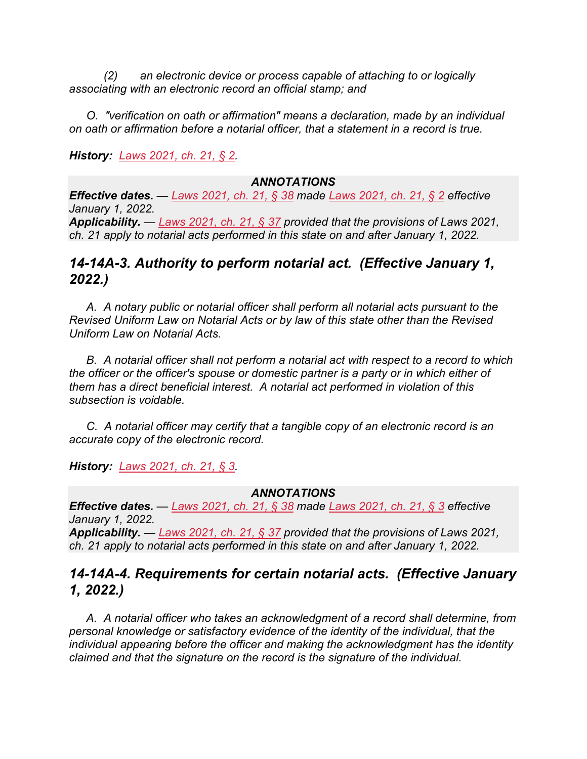*(2) an electronic device or process capable of attaching to or logically associating with an electronic record an official stamp; and*

*O. "verification on oath or affirmation" means a declaration, made by an individual on oath or affirmation before a notarial officer, that a statement in a record is true.*

*History: [Laws 2021, ch. 21, § 2.](https://nmonesource.com/nmos/nmsl/en/item/18129/index.do#!b/c21s2)*

#### *ANNOTATIONS*

*Effective dates. — [Laws 2021, ch. 21, § 38](https://nmonesource.com/nmos/nmsl/en/item/18129/index.do#!b/c21s38) made [Laws 2021, ch. 21, § 2](https://nmonesource.com/nmos/nmsl/en/item/18129/index.do#!b/c21s2) effective January 1, 2022. Applicability. — [Laws 2021, ch. 21, § 37](https://nmonesource.com/nmos/nmsl/en/item/18129/index.do#!b/c21s37) provided that the provisions of Laws 2021, ch. 21 apply to notarial acts performed in this state on and after January 1, 2022.*

## *14-14A-3. Authority to perform notarial act. (Effective January 1, 2022.)*

*A. A notary public or notarial officer shall perform all notarial acts pursuant to the Revised Uniform Law on Notarial Acts or by law of this state other than the Revised Uniform Law on Notarial Acts.*

*B. A notarial officer shall not perform a notarial act with respect to a record to which the officer or the officer's spouse or domestic partner is a party or in which either of them has a direct beneficial interest. A notarial act performed in violation of this subsection is voidable.*

*C. A notarial officer may certify that a tangible copy of an electronic record is an accurate copy of the electronic record.*

*History: [Laws 2021, ch. 21, § 3.](https://nmonesource.com/nmos/nmsl/en/item/18129/index.do#!b/c21s3)*

#### *ANNOTATIONS*

*Effective dates. — [Laws 2021, ch. 21, § 38](https://nmonesource.com/nmos/nmsl/en/item/18129/index.do#!b/c21s38) made [Laws 2021, ch. 21, § 3](https://nmonesource.com/nmos/nmsl/en/item/18129/index.do#!b/c21s3) effective January 1, 2022.*

*Applicability. — [Laws 2021, ch. 21, § 37](https://nmonesource.com/nmos/nmsl/en/item/18129/index.do#!b/c21s37) provided that the provisions of Laws 2021, ch. 21 apply to notarial acts performed in this state on and after January 1, 2022.*

## *14-14A-4. Requirements for certain notarial acts. (Effective January 1, 2022.)*

*A. A notarial officer who takes an acknowledgment of a record shall determine, from personal knowledge or satisfactory evidence of the identity of the individual, that the individual appearing before the officer and making the acknowledgment has the identity claimed and that the signature on the record is the signature of the individual.*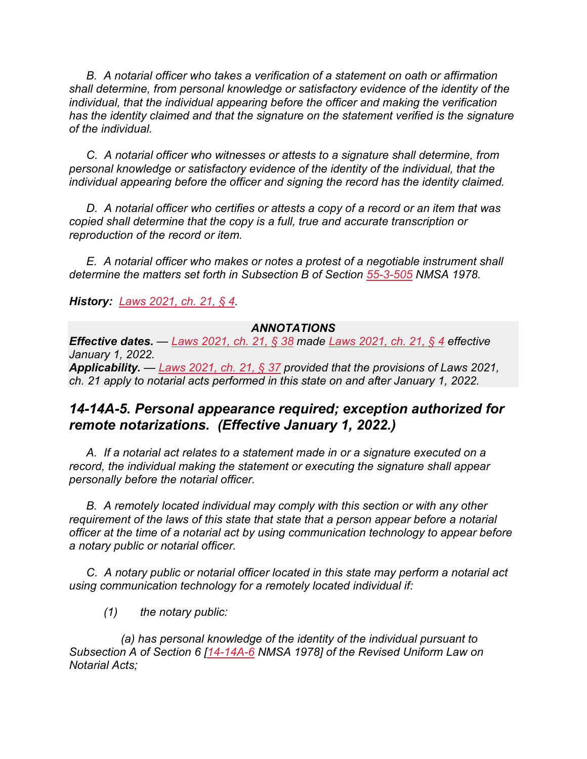*B. A notarial officer who takes a verification of a statement on oath or affirmation shall determine, from personal knowledge or satisfactory evidence of the identity of the individual, that the individual appearing before the officer and making the verification has the identity claimed and that the signature on the statement verified is the signature of the individual.*

*C. A notarial officer who witnesses or attests to a signature shall determine, from personal knowledge or satisfactory evidence of the identity of the individual, that the individual appearing before the officer and signing the record has the identity claimed.*

*D. A notarial officer who certifies or attests a copy of a record or an item that was copied shall determine that the copy is a full, true and accurate transcription or reproduction of the record or item.*

*E. A notarial officer who makes or notes a protest of a negotiable instrument shall determine the matters set forth in Subsection B of Section [55-3-505](https://nmonesource.com/nmos/nmsa/en/item/4411/index.do#!b/55-3-505) NMSA 1978.*

*History: [Laws 2021, ch. 21, § 4.](https://nmonesource.com/nmos/nmsl/en/item/18129/index.do#!b/c21s4)*

#### *ANNOTATIONS*

*Effective dates. — [Laws 2021, ch. 21, § 38](https://nmonesource.com/nmos/nmsl/en/item/18129/index.do#!b/c21s38) made [Laws 2021, ch. 21, § 4](https://nmonesource.com/nmos/nmsl/en/item/18129/index.do#!b/c21s4) effective January 1, 2022.*

*Applicability. — [Laws 2021, ch. 21, § 37](https://nmonesource.com/nmos/nmsl/en/item/18129/index.do#!b/c21s37) provided that the provisions of Laws 2021, ch. 21 apply to notarial acts performed in this state on and after January 1, 2022.*

## *14-14A-5. Personal appearance required; exception authorized for remote notarizations. (Effective January 1, 2022.)*

*A. If a notarial act relates to a statement made in or a signature executed on a record, the individual making the statement or executing the signature shall appear personally before the notarial officer.*

*B. A remotely located individual may comply with this section or with any other requirement of the laws of this state that state that a person appear before a notarial officer at the time of a notarial act by using communication technology to appear before a notary public or notarial officer.*

*C. A notary public or notarial officer located in this state may perform a notarial act using communication technology for a remotely located individual if:*

*(1) the notary public:*

*(a) has personal knowledge of the identity of the individual pursuant to Subsection A of Section 6 [\[14-14A-6](https://nmonesource.com/nmos/nmsa/en/item/4383/index.do#!b/14-14A-6) NMSA 1978] of the Revised Uniform Law on Notarial Acts;*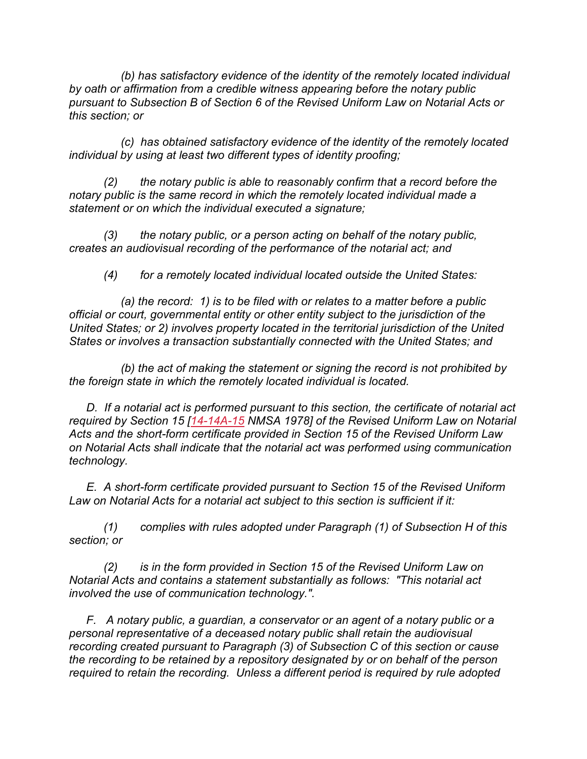*(b) has satisfactory evidence of the identity of the remotely located individual by oath or affirmation from a credible witness appearing before the notary public pursuant to Subsection B of Section 6 of the Revised Uniform Law on Notarial Acts or this section; or*

*(c) has obtained satisfactory evidence of the identity of the remotely located individual by using at least two different types of identity proofing;*

*(2) the notary public is able to reasonably confirm that a record before the notary public is the same record in which the remotely located individual made a statement or on which the individual executed a signature;*

*(3) the notary public, or a person acting on behalf of the notary public, creates an audiovisual recording of the performance of the notarial act; and*

*(4) for a remotely located individual located outside the United States:*

*(a) the record: 1) is to be filed with or relates to a matter before a public official or court, governmental entity or other entity subject to the jurisdiction of the United States; or 2) involves property located in the territorial jurisdiction of the United States or involves a transaction substantially connected with the United States; and*

*(b) the act of making the statement or signing the record is not prohibited by the foreign state in which the remotely located individual is located.*

*D. If a notarial act is performed pursuant to this section, the certificate of notarial act required by Section 15 [\[14-14A-15](https://nmonesource.com/nmos/nmsa/en/item/4383/index.do#!b/14-14A-15) NMSA 1978] of the Revised Uniform Law on Notarial Acts and the short-form certificate provided in Section 15 of the Revised Uniform Law on Notarial Acts shall indicate that the notarial act was performed using communication technology.*

*E. A short-form certificate provided pursuant to Section 15 of the Revised Uniform Law on Notarial Acts for a notarial act subject to this section is sufficient if it:*

*(1) complies with rules adopted under Paragraph (1) of Subsection H of this section; or*

*(2) is in the form provided in Section 15 of the Revised Uniform Law on Notarial Acts and contains a statement substantially as follows: "This notarial act involved the use of communication technology.".*

*F. A notary public, a guardian, a conservator or an agent of a notary public or a personal representative of a deceased notary public shall retain the audiovisual recording created pursuant to Paragraph (3) of Subsection C of this section or cause the recording to be retained by a repository designated by or on behalf of the person required to retain the recording. Unless a different period is required by rule adopted*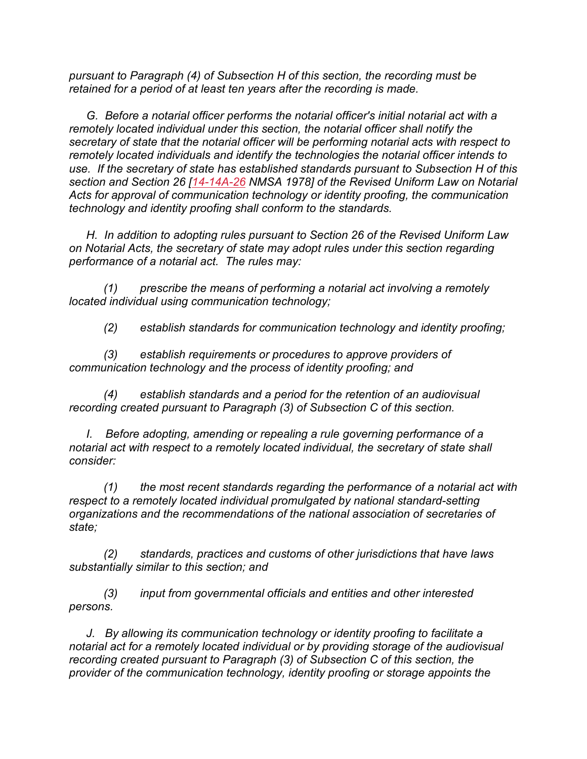*pursuant to Paragraph (4) of Subsection H of this section, the recording must be retained for a period of at least ten years after the recording is made.*

*G. Before a notarial officer performs the notarial officer's initial notarial act with a remotely located individual under this section, the notarial officer shall notify the secretary of state that the notarial officer will be performing notarial acts with respect to remotely located individuals and identify the technologies the notarial officer intends to use. If the secretary of state has established standards pursuant to Subsection H of this section and Section 26 [\[14-14A-26](https://nmonesource.com/nmos/nmsa/en/item/4383/index.do#!b/14-14A-26) NMSA 1978] of the Revised Uniform Law on Notarial Acts for approval of communication technology or identity proofing, the communication technology and identity proofing shall conform to the standards.*

*H. In addition to adopting rules pursuant to Section 26 of the Revised Uniform Law on Notarial Acts, the secretary of state may adopt rules under this section regarding performance of a notarial act. The rules may:*

*(1) prescribe the means of performing a notarial act involving a remotely located individual using communication technology;*

*(2) establish standards for communication technology and identity proofing;*

*(3) establish requirements or procedures to approve providers of communication technology and the process of identity proofing; and*

*(4) establish standards and a period for the retention of an audiovisual recording created pursuant to Paragraph (3) of Subsection C of this section.*

*I. Before adopting, amending or repealing a rule governing performance of a notarial act with respect to a remotely located individual, the secretary of state shall consider:*

*(1) the most recent standards regarding the performance of a notarial act with respect to a remotely located individual promulgated by national standard-setting organizations and the recommendations of the national association of secretaries of state;*

*(2) standards, practices and customs of other jurisdictions that have laws substantially similar to this section; and*

*(3) input from governmental officials and entities and other interested persons.*

*J. By allowing its communication technology or identity proofing to facilitate a notarial act for a remotely located individual or by providing storage of the audiovisual recording created pursuant to Paragraph (3) of Subsection C of this section, the provider of the communication technology, identity proofing or storage appoints the*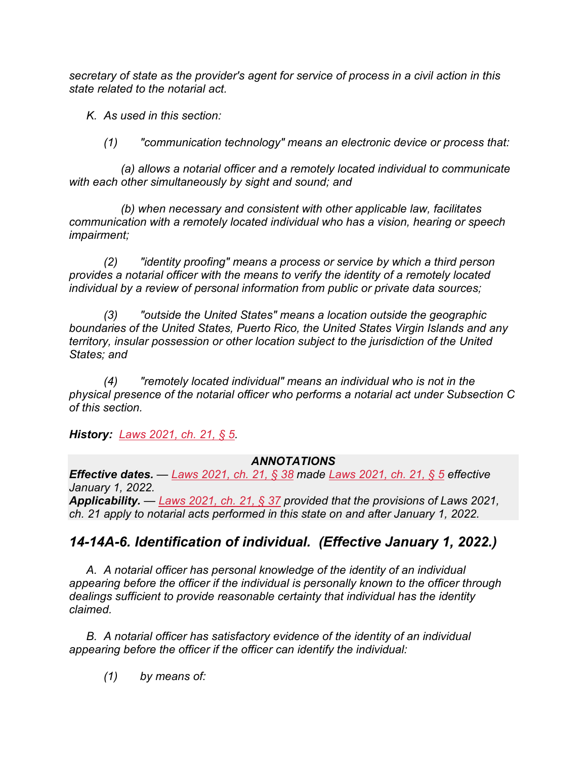*secretary of state as the provider's agent for service of process in a civil action in this state related to the notarial act.*

*K. As used in this section:*

*(1) "communication technology" means an electronic device or process that:*

*(a) allows a notarial officer and a remotely located individual to communicate with each other simultaneously by sight and sound; and*

*(b) when necessary and consistent with other applicable law, facilitates communication with a remotely located individual who has a vision, hearing or speech impairment;*

*(2) "identity proofing" means a process or service by which a third person provides a notarial officer with the means to verify the identity of a remotely located individual by a review of personal information from public or private data sources;*

*(3) "outside the United States" means a location outside the geographic boundaries of the United States, Puerto Rico, the United States Virgin Islands and any territory, insular possession or other location subject to the jurisdiction of the United States; and*

*(4) "remotely located individual" means an individual who is not in the physical presence of the notarial officer who performs a notarial act under Subsection C of this section.*

*History: [Laws 2021, ch. 21, § 5.](https://nmonesource.com/nmos/nmsl/en/item/18129/index.do#!b/c21s5)*

#### *ANNOTATIONS*

*Effective dates. — [Laws 2021, ch. 21, § 38](https://nmonesource.com/nmos/nmsl/en/item/18129/index.do#!b/c21s38) made [Laws 2021, ch. 21, § 5](https://nmonesource.com/nmos/nmsl/en/item/18129/index.do#!b/c21s5) effective January 1, 2022.*

*Applicability. — [Laws 2021, ch. 21, § 37](https://nmonesource.com/nmos/nmsl/en/item/18129/index.do#!b/c21s37) provided that the provisions of Laws 2021, ch. 21 apply to notarial acts performed in this state on and after January 1, 2022.*

## *14-14A-6. Identification of individual. (Effective January 1, 2022.)*

*A. A notarial officer has personal knowledge of the identity of an individual appearing before the officer if the individual is personally known to the officer through dealings sufficient to provide reasonable certainty that individual has the identity claimed.*

*B. A notarial officer has satisfactory evidence of the identity of an individual appearing before the officer if the officer can identify the individual:*

*(1) by means of:*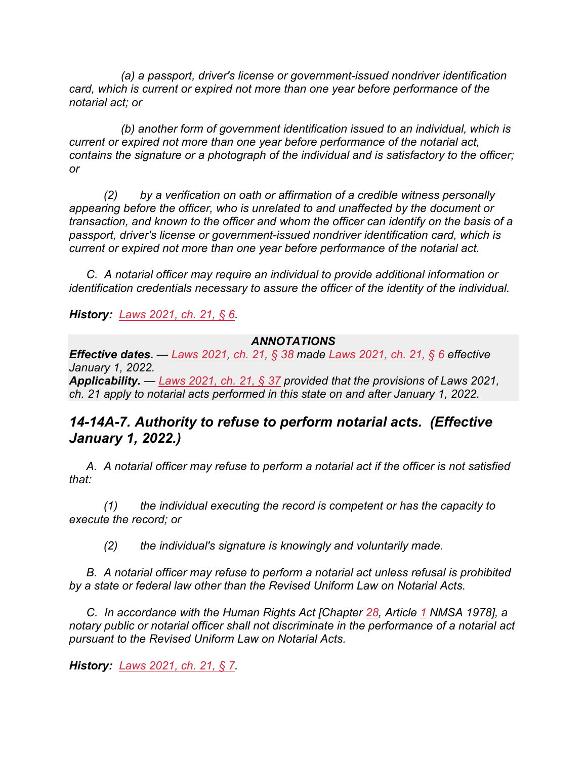*(a) a passport, driver's license or government-issued nondriver identification card, which is current or expired not more than one year before performance of the notarial act; or*

*(b) another form of government identification issued to an individual, which is current or expired not more than one year before performance of the notarial act, contains the signature or a photograph of the individual and is satisfactory to the officer; or*

*(2) by a verification on oath or affirmation of a credible witness personally appearing before the officer, who is unrelated to and unaffected by the document or transaction, and known to the officer and whom the officer can identify on the basis of a passport, driver's license or government-issued nondriver identification card, which is current or expired not more than one year before performance of the notarial act.*

*C. A notarial officer may require an individual to provide additional information or identification credentials necessary to assure the officer of the identity of the individual.*

*History: [Laws 2021, ch. 21, § 6.](https://nmonesource.com/nmos/nmsl/en/item/18129/index.do#!b/c21s6)*

#### *ANNOTATIONS*

*Effective dates. — [Laws 2021, ch. 21, § 38](https://nmonesource.com/nmos/nmsl/en/item/18129/index.do#!b/c21s38) made [Laws 2021, ch. 21, § 6](https://nmonesource.com/nmos/nmsl/en/item/18129/index.do#!b/c21s6) effective January 1, 2022. Applicability. — [Laws 2021, ch. 21, § 37](https://nmonesource.com/nmos/nmsl/en/item/18129/index.do#!b/c21s37) provided that the provisions of Laws 2021, ch. 21 apply to notarial acts performed in this state on and after January 1, 2022.*

## *14-14A-7. Authority to refuse to perform notarial acts. (Effective January 1, 2022.)*

*A. A notarial officer may refuse to perform a notarial act if the officer is not satisfied that:*

*(1) the individual executing the record is competent or has the capacity to execute the record; or*

*(2) the individual's signature is knowingly and voluntarily made.*

*B. A notarial officer may refuse to perform a notarial act unless refusal is prohibited by a state or federal law other than the Revised Uniform Law on Notarial Acts.*

*C. In accordance with the Human Rights Act [Chapter [28,](https://nmonesource.com/nmos/nmsa/en/item/4365/index.do#!b/a1) Article [1](https://nmonesource.com/nmos/nmsa/en/item/4365/index.do#!b/a1) NMSA 1978], a notary public or notarial officer shall not discriminate in the performance of a notarial act pursuant to the Revised Uniform Law on Notarial Acts.*

*History: [Laws 2021, ch. 21, § 7.](https://nmonesource.com/nmos/nmsl/en/item/18129/index.do#!b/c21s7)*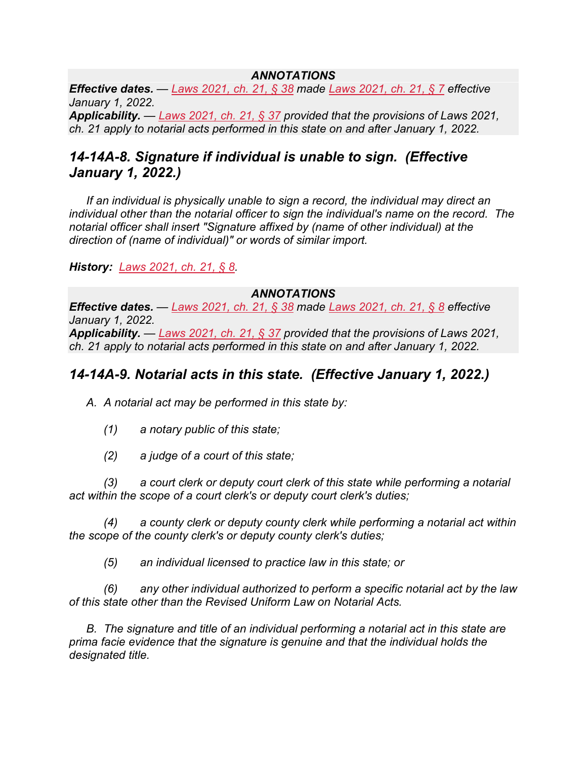#### *ANNOTATIONS*

*Effective dates. — [Laws 2021, ch. 21, § 38](https://nmonesource.com/nmos/nmsl/en/item/18129/index.do#!b/c21s38) made [Laws 2021, ch. 21, § 7](https://nmonesource.com/nmos/nmsl/en/item/18129/index.do#!b/c21s7) effective January 1, 2022. Applicability. — [Laws 2021, ch. 21, § 37](https://nmonesource.com/nmos/nmsl/en/item/18129/index.do#!b/c21s37) provided that the provisions of Laws 2021, ch. 21 apply to notarial acts performed in this state on and after January 1, 2022.*

## *14-14A-8. Signature if individual is unable to sign. (Effective January 1, 2022.)*

*If an individual is physically unable to sign a record, the individual may direct an individual other than the notarial officer to sign the individual's name on the record. The notarial officer shall insert "Signature affixed by (name of other individual) at the direction of (name of individual)" or words of similar import.*

*History: [Laws 2021, ch. 21, § 8.](https://nmonesource.com/nmos/nmsl/en/item/18129/index.do#!b/c21s8)*

#### *ANNOTATIONS*

*Effective dates. — [Laws 2021, ch. 21, § 38](https://nmonesource.com/nmos/nmsl/en/item/18129/index.do#!b/c21s38) made [Laws 2021, ch. 21, § 8](https://nmonesource.com/nmos/nmsl/en/item/18129/index.do#!b/c21s8) effective January 1, 2022. Applicability. — [Laws 2021, ch. 21, § 37](https://nmonesource.com/nmos/nmsl/en/item/18129/index.do#!b/c21s37) provided that the provisions of Laws 2021, ch. 21 apply to notarial acts performed in this state on and after January 1, 2022.*

## *14-14A-9. Notarial acts in this state. (Effective January 1, 2022.)*

*A. A notarial act may be performed in this state by:*

- *(1) a notary public of this state;*
- *(2) a judge of a court of this state;*

*(3) a court clerk or deputy court clerk of this state while performing a notarial act within the scope of a court clerk's or deputy court clerk's duties;*

*(4) a county clerk or deputy county clerk while performing a notarial act within the scope of the county clerk's or deputy county clerk's duties;*

*(5) an individual licensed to practice law in this state; or*

*(6) any other individual authorized to perform a specific notarial act by the law of this state other than the Revised Uniform Law on Notarial Acts.*

*B. The signature and title of an individual performing a notarial act in this state are prima facie evidence that the signature is genuine and that the individual holds the designated title.*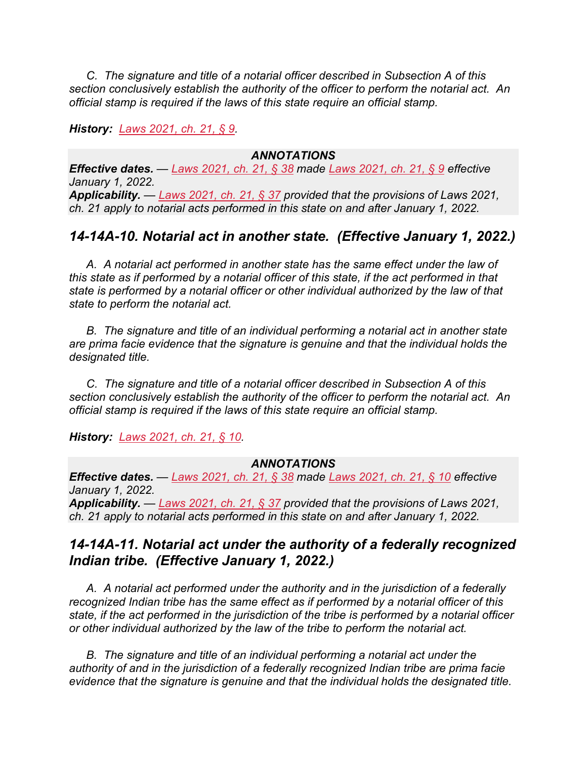*C. The signature and title of a notarial officer described in Subsection A of this section conclusively establish the authority of the officer to perform the notarial act. An official stamp is required if the laws of this state require an official stamp.*

*History: [Laws 2021, ch. 21, § 9.](https://nmonesource.com/nmos/nmsl/en/item/18129/index.do#!b/c21s9)*

#### *ANNOTATIONS*

*Effective dates. — [Laws 2021, ch. 21, § 38](https://nmonesource.com/nmos/nmsl/en/item/18129/index.do#!b/c21s38) made [Laws 2021, ch. 21, § 9](https://nmonesource.com/nmos/nmsl/en/item/18129/index.do#!b/c21s9) effective January 1, 2022. Applicability. — [Laws 2021, ch. 21, § 37](https://nmonesource.com/nmos/nmsl/en/item/18129/index.do#!b/c21s37) provided that the provisions of Laws 2021, ch. 21 apply to notarial acts performed in this state on and after January 1, 2022.*

## *14-14A-10. Notarial act in another state. (Effective January 1, 2022.)*

*A. A notarial act performed in another state has the same effect under the law of this state as if performed by a notarial officer of this state, if the act performed in that state is performed by a notarial officer or other individual authorized by the law of that state to perform the notarial act.*

*B. The signature and title of an individual performing a notarial act in another state are prima facie evidence that the signature is genuine and that the individual holds the designated title.*

*C. The signature and title of a notarial officer described in Subsection A of this section conclusively establish the authority of the officer to perform the notarial act. An official stamp is required if the laws of this state require an official stamp.*

*History: [Laws 2021, ch. 21, § 10.](https://nmonesource.com/nmos/nmsl/en/item/18129/index.do#!b/c21s10)*

#### *ANNOTATIONS*

*Effective dates. — [Laws 2021, ch. 21, § 38](https://nmonesource.com/nmos/nmsl/en/item/18129/index.do#!b/c21s38) made [Laws 2021, ch. 21, § 10](https://nmonesource.com/nmos/nmsl/en/item/18129/index.do#!b/c21s10) effective January 1, 2022.*

*Applicability. — [Laws 2021, ch. 21, § 37](https://nmonesource.com/nmos/nmsl/en/item/18129/index.do#!b/c21s37) provided that the provisions of Laws 2021, ch. 21 apply to notarial acts performed in this state on and after January 1, 2022.*

## *14-14A-11. Notarial act under the authority of a federally recognized Indian tribe. (Effective January 1, 2022.)*

*A. A notarial act performed under the authority and in the jurisdiction of a federally recognized Indian tribe has the same effect as if performed by a notarial officer of this state, if the act performed in the jurisdiction of the tribe is performed by a notarial officer or other individual authorized by the law of the tribe to perform the notarial act.*

*B. The signature and title of an individual performing a notarial act under the authority of and in the jurisdiction of a federally recognized Indian tribe are prima facie evidence that the signature is genuine and that the individual holds the designated title.*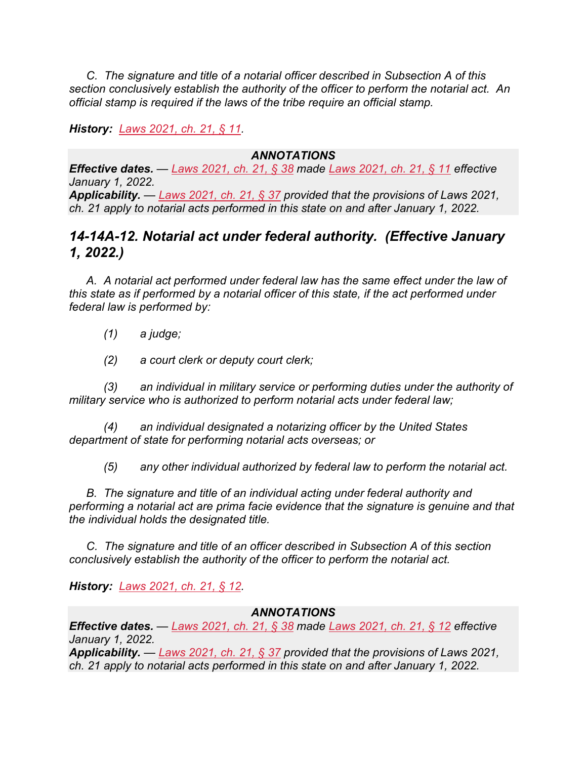*C. The signature and title of a notarial officer described in Subsection A of this section conclusively establish the authority of the officer to perform the notarial act. An official stamp is required if the laws of the tribe require an official stamp.*

*History: [Laws 2021, ch. 21, § 11.](https://nmonesource.com/nmos/nmsl/en/item/18129/index.do#!b/c21s11)*

#### *ANNOTATIONS*

*Effective dates. — [Laws 2021, ch. 21, § 38](https://nmonesource.com/nmos/nmsl/en/item/18129/index.do#!b/c21s38) made [Laws 2021, ch. 21, § 11](https://nmonesource.com/nmos/nmsl/en/item/18129/index.do#!b/c21s11) effective January 1, 2022. Applicability. — [Laws 2021, ch. 21, § 37](https://nmonesource.com/nmos/nmsl/en/item/18129/index.do#!b/c21s37) provided that the provisions of Laws 2021, ch. 21 apply to notarial acts performed in this state on and after January 1, 2022.*

## *14-14A-12. Notarial act under federal authority. (Effective January 1, 2022.)*

*A. A notarial act performed under federal law has the same effect under the law of this state as if performed by a notarial officer of this state, if the act performed under federal law is performed by:*

- *(1) a judge;*
- *(2) a court clerk or deputy court clerk;*

*(3) an individual in military service or performing duties under the authority of military service who is authorized to perform notarial acts under federal law;*

*(4) an individual designated a notarizing officer by the United States department of state for performing notarial acts overseas; or*

*(5) any other individual authorized by federal law to perform the notarial act.*

**B.** The signature and title of an individual acting under federal authority and *performing a notarial act are prima facie evidence that the signature is genuine and that the individual holds the designated title.*

*C. The signature and title of an officer described in Subsection A of this section conclusively establish the authority of the officer to perform the notarial act.*

*History: [Laws 2021, ch. 21, § 12.](https://nmonesource.com/nmos/nmsl/en/item/18129/index.do#!b/c21s12)*

#### *ANNOTATIONS*

*Effective dates. — [Laws 2021, ch. 21, § 38](https://nmonesource.com/nmos/nmsl/en/item/18129/index.do#!b/c21s38) made [Laws 2021, ch. 21, § 12](https://nmonesource.com/nmos/nmsl/en/item/18129/index.do#!b/c21s12) effective January 1, 2022.*

*Applicability. — [Laws 2021, ch. 21, § 37](https://nmonesource.com/nmos/nmsl/en/item/18129/index.do#!b/c21s37) provided that the provisions of Laws 2021, ch. 21 apply to notarial acts performed in this state on and after January 1, 2022.*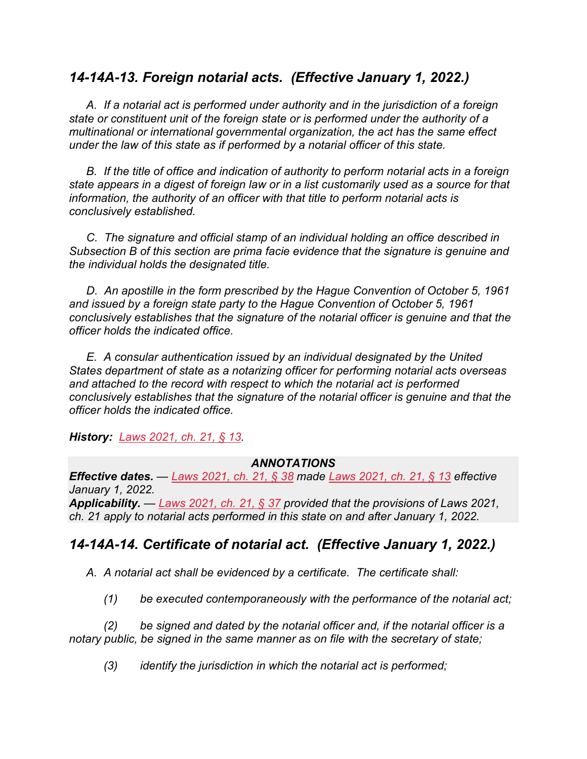## *14-14A-13. Foreign notarial acts. (Effective January 1, 2022.)*

*A. If a notarial act is performed under authority and in the jurisdiction of a foreign state or constituent unit of the foreign state or is performed under the authority of a multinational or international governmental organization, the act has the same effect under the law of this state as if performed by a notarial officer of this state.*

*B. If the title of office and indication of authority to perform notarial acts in a foreign state appears in a digest of foreign law or in a list customarily used as a source for that information, the authority of an officer with that title to perform notarial acts is conclusively established.*

*C. The signature and official stamp of an individual holding an office described in Subsection B of this section are prima facie evidence that the signature is genuine and the individual holds the designated title.*

*D. An apostille in the form prescribed by the Hague Convention of October 5, 1961 and issued by a foreign state party to the Hague Convention of October 5, 1961 conclusively establishes that the signature of the notarial officer is genuine and that the officer holds the indicated office.*

*E. A consular authentication issued by an individual designated by the United States department of state as a notarizing officer for performing notarial acts overseas and attached to the record with respect to which the notarial act is performed conclusively establishes that the signature of the notarial officer is genuine and that the officer holds the indicated office.*

*History: [Laws 2021, ch. 21, § 13.](https://nmonesource.com/nmos/nmsl/en/item/18129/index.do#!b/c21s13)*

#### *ANNOTATIONS*

*Effective dates. — [Laws 2021, ch. 21, § 38](https://nmonesource.com/nmos/nmsl/en/item/18129/index.do#!b/c21s38) made [Laws 2021, ch. 21, § 13](https://nmonesource.com/nmos/nmsl/en/item/18129/index.do#!b/c21s13) effective January 1, 2022. Applicability. — [Laws 2021, ch. 21, § 37](https://nmonesource.com/nmos/nmsl/en/item/18129/index.do#!b/c21s37) provided that the provisions of Laws 2021,* 

# *ch. 21 apply to notarial acts performed in this state on and after January 1, 2022.*

## *14-14A-14. Certificate of notarial act. (Effective January 1, 2022.)*

*A. A notarial act shall be evidenced by a certificate. The certificate shall:*

*(1) be executed contemporaneously with the performance of the notarial act;*

*(2) be signed and dated by the notarial officer and, if the notarial officer is a notary public, be signed in the same manner as on file with the secretary of state;*

*(3) identify the jurisdiction in which the notarial act is performed;*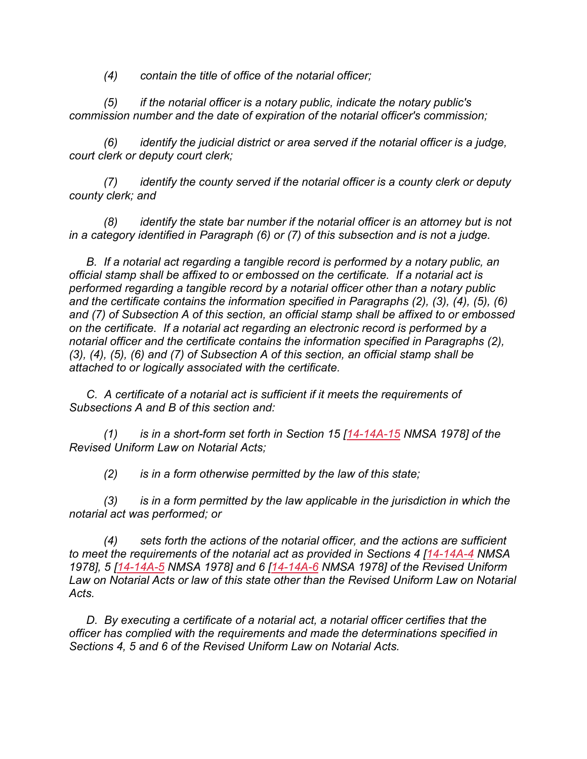*(4) contain the title of office of the notarial officer;*

*(5) if the notarial officer is a notary public, indicate the notary public's commission number and the date of expiration of the notarial officer's commission;*

*(6) identify the judicial district or area served if the notarial officer is a judge, court clerk or deputy court clerk;*

*(7) identify the county served if the notarial officer is a county clerk or deputy county clerk; and*

*(8) identify the state bar number if the notarial officer is an attorney but is not in a category identified in Paragraph (6) or (7) of this subsection and is not a judge.*

*B. If a notarial act regarding a tangible record is performed by a notary public, an official stamp shall be affixed to or embossed on the certificate. If a notarial act is performed regarding a tangible record by a notarial officer other than a notary public and the certificate contains the information specified in Paragraphs (2), (3), (4), (5), (6) and (7) of Subsection A of this section, an official stamp shall be affixed to or embossed on the certificate. If a notarial act regarding an electronic record is performed by a notarial officer and the certificate contains the information specified in Paragraphs (2), (3), (4), (5), (6) and (7) of Subsection A of this section, an official stamp shall be attached to or logically associated with the certificate.*

*C. A certificate of a notarial act is sufficient if it meets the requirements of Subsections A and B of this section and:*

*(1) is in a short-form set forth in Section 15 [\[14-14A-15](https://nmonesource.com/nmos/nmsa/en/item/4383/index.do#!b/14-14A-15) NMSA 1978] of the Revised Uniform Law on Notarial Acts;*

*(2) is in a form otherwise permitted by the law of this state;*

*(3) is in a form permitted by the law applicable in the jurisdiction in which the notarial act was performed; or*

*(4) sets forth the actions of the notarial officer, and the actions are sufficient to meet the requirements of the notarial act as provided in Sections 4 [\[14-14A-4](https://nmonesource.com/nmos/nmsa/en/item/4383/index.do#!b/14-14A-4) NMSA 1978], 5 [\[14-14A-5](https://nmonesource.com/nmos/nmsa/en/item/4383/index.do#!b/14-14A-5) NMSA 1978] and 6 [\[14-14A-6](https://nmonesource.com/nmos/nmsa/en/item/4383/index.do#!b/14-14A-6) NMSA 1978] of the Revised Uniform Law on Notarial Acts or law of this state other than the Revised Uniform Law on Notarial Acts.*

*D. By executing a certificate of a notarial act, a notarial officer certifies that the officer has complied with the requirements and made the determinations specified in Sections 4, 5 and 6 of the Revised Uniform Law on Notarial Acts.*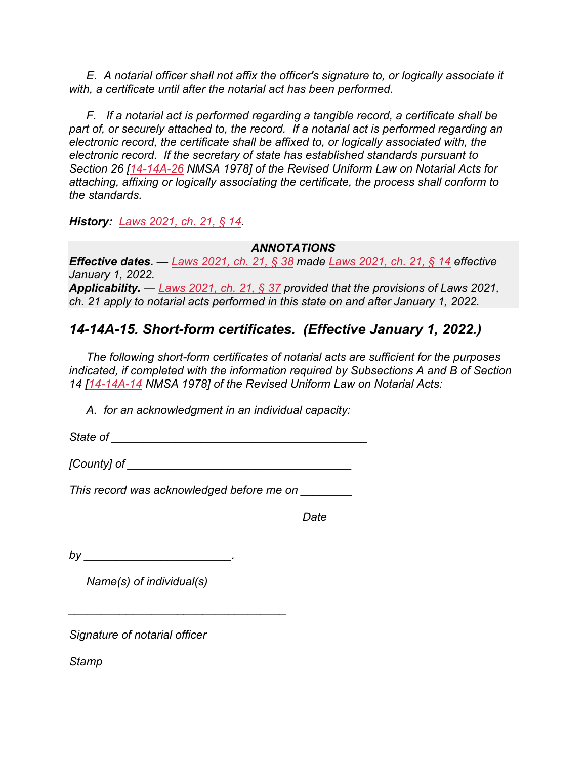*E. A notarial officer shall not affix the officer's signature to, or logically associate it with, a certificate until after the notarial act has been performed.*

*F. If a notarial act is performed regarding a tangible record, a certificate shall be part of, or securely attached to, the record. If a notarial act is performed regarding an electronic record, the certificate shall be affixed to, or logically associated with, the electronic record. If the secretary of state has established standards pursuant to Section 26 [\[14-14A-26](https://nmonesource.com/nmos/nmsa/en/item/4383/index.do#!b/14-14A-26) NMSA 1978] of the Revised Uniform Law on Notarial Acts for attaching, affixing or logically associating the certificate, the process shall conform to the standards.*

*History: [Laws 2021, ch. 21, § 14.](https://nmonesource.com/nmos/nmsl/en/item/18129/index.do#!b/c21s14)*

#### *ANNOTATIONS*

*Effective dates. — [Laws 2021, ch. 21, § 38](https://nmonesource.com/nmos/nmsl/en/item/18129/index.do#!b/c21s38) made [Laws 2021, ch. 21, § 14](https://nmonesource.com/nmos/nmsl/en/item/18129/index.do#!b/c21s14) effective January 1, 2022. Applicability. — [Laws 2021, ch. 21, § 37](https://nmonesource.com/nmos/nmsl/en/item/18129/index.do#!b/c21s37) provided that the provisions of Laws 2021, ch. 21 apply to notarial acts performed in this state on and after January 1, 2022.*

## *14-14A-15. Short-form certificates. (Effective January 1, 2022.)*

*The following short-form certificates of notarial acts are sufficient for the purposes indicated, if completed with the information required by Subsections A and B of Section 14 [\[14-14A-14](https://nmonesource.com/nmos/nmsa/en/item/4383/index.do#!b/14-14A-14) NMSA 1978] of the Revised Uniform Law on Notarial Acts:*

*A. for an acknowledgment in an individual capacity:*

*State of State of* 

*[County] of \_\_\_\_\_\_\_\_\_\_\_\_\_\_\_\_\_\_\_\_\_\_\_\_\_\_\_\_\_\_\_\_\_\_\_*

*This record was acknowledged before me on \_\_\_\_\_\_\_\_*

*Date*

*by \_\_\_\_\_\_\_\_\_\_\_\_\_\_\_\_\_\_\_\_\_\_\_.*

*Name(s) of individual(s)*

*\_\_\_\_\_\_\_\_\_\_\_\_\_\_\_\_\_\_\_\_\_\_\_\_\_\_\_\_\_\_\_\_\_\_*

*Signature of notarial officer*

*Stamp*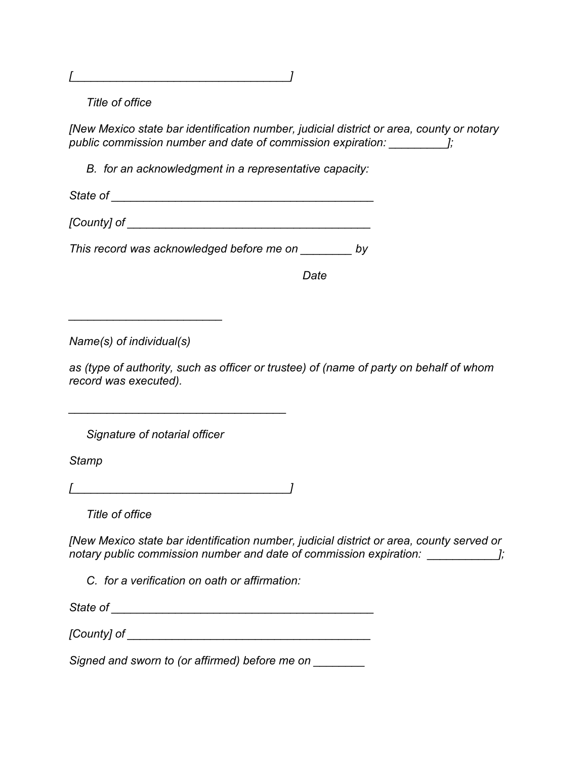*[\_\_\_\_\_\_\_\_\_\_\_\_\_\_\_\_\_\_\_\_\_\_\_\_\_\_\_\_\_\_\_\_\_\_]*

*Title of office*

*[New Mexico state bar identification number, judicial district or area, county or notary public commission number and date of commission expiration: \_\_\_\_\_\_\_\_\_];*

*B. for an acknowledgment in a representative capacity:*

*State of \_\_\_\_\_\_\_\_\_\_\_\_\_\_\_\_\_\_\_\_\_\_\_\_\_\_\_\_\_\_\_\_\_\_\_\_\_\_\_\_\_*

*[County] of \_\_\_\_\_\_\_\_\_\_\_\_\_\_\_\_\_\_\_\_\_\_\_\_\_\_\_\_\_\_\_\_\_\_\_\_\_\_*

*This record was acknowledged before me on \_\_\_\_\_\_\_\_ by*

*Date*

*Name(s) of individual(s)*

*\_\_\_\_\_\_\_\_\_\_\_\_\_\_\_\_\_\_\_\_\_\_\_\_*

*as (type of authority, such as officer or trustee) of (name of party on behalf of whom record was executed).*

*Signature of notarial officer*

*Stamp*

*[\_\_\_\_\_\_\_\_\_\_\_\_\_\_\_\_\_\_\_\_\_\_\_\_\_\_\_\_\_\_\_\_\_\_]*

*\_\_\_\_\_\_\_\_\_\_\_\_\_\_\_\_\_\_\_\_\_\_\_\_\_\_\_\_\_\_\_\_\_\_*

*Title of office*

*[New Mexico state bar identification number, judicial district or area, county served or notary public commission number and date of commission expiration:*  $\frac{1}{1}$ ;

*C. for a verification on oath or affirmation:*

*State of \_\_\_\_\_\_\_\_\_\_\_\_\_\_\_\_\_\_\_\_\_\_\_\_\_\_\_\_\_\_\_\_\_\_\_\_\_\_\_\_\_*

*[County] of*  $\blacksquare$ 

*Signed and sworn to (or affirmed) before me on \_\_\_\_\_\_\_\_*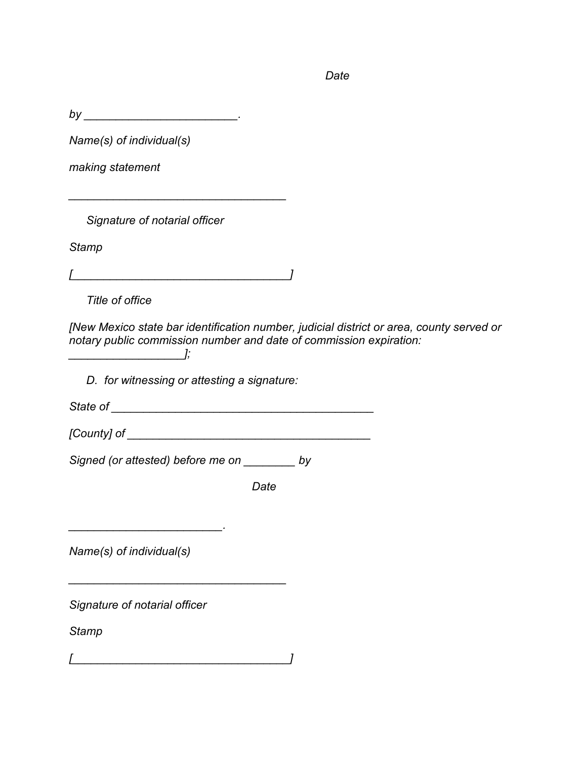*Date*

*by \_\_\_\_\_\_\_\_\_\_\_\_\_\_\_\_\_\_\_\_\_\_\_\_.*

*Name(s) of individual(s)*

*making statement*

*Signature of notarial officer*

*Stamp*

*[\_\_\_\_\_\_\_\_\_\_\_\_\_\_\_\_\_\_\_\_\_\_\_\_\_\_\_\_\_\_\_\_\_\_]*

*\_\_\_\_\_\_\_\_\_\_\_\_\_\_\_\_\_\_\_\_\_\_\_\_\_\_\_\_\_\_\_\_\_\_*

*Title of office*

*[New Mexico state bar identification number, judicial district or area, county served or notary public commission number and date of commission expiration: \_\_\_\_\_\_\_\_\_\_\_\_\_\_\_\_\_\_];*

*D. for witnessing or attesting a signature:*

*State of \_\_\_\_\_\_\_\_\_\_\_\_\_\_\_\_\_\_\_\_\_\_\_\_\_\_\_\_\_\_\_\_\_\_\_\_\_\_\_\_\_*

*[County] of \_\_\_\_\_\_\_\_\_\_\_\_\_\_\_\_\_\_\_\_\_\_\_\_\_\_\_\_\_\_\_\_\_\_\_\_\_\_*

*Signed (or attested) before me on \_\_\_\_\_\_\_\_ by*

*Date*

*Name(s) of individual(s)*

*\_\_\_\_\_\_\_\_\_\_\_\_\_\_\_\_\_\_\_\_\_\_\_\_.*

*Signature of notarial officer*

*Stamp*

*[\_\_\_\_\_\_\_\_\_\_\_\_\_\_\_\_\_\_\_\_\_\_\_\_\_\_\_\_\_\_\_\_\_\_]*

*\_\_\_\_\_\_\_\_\_\_\_\_\_\_\_\_\_\_\_\_\_\_\_\_\_\_\_\_\_\_\_\_\_\_*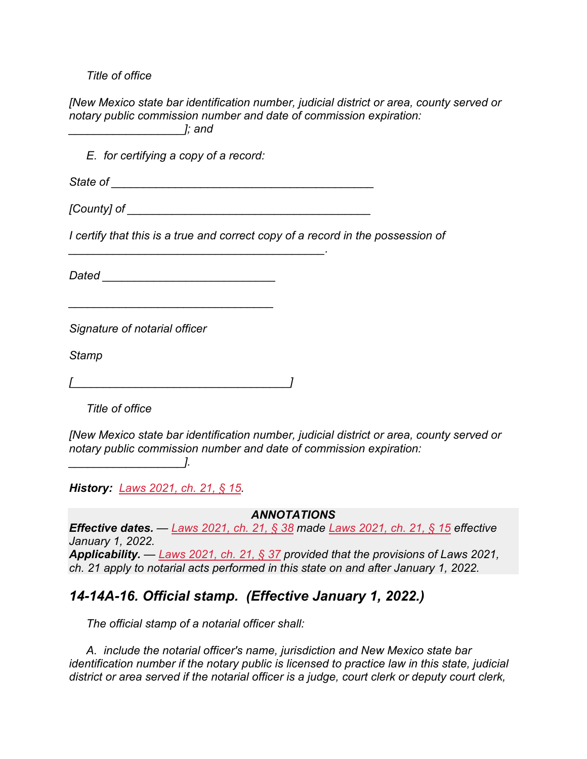*Title of office*

*[New Mexico state bar identification number, judicial district or area, county served or notary public commission number and date of commission expiration: \_\_\_\_\_\_\_\_\_\_\_\_\_\_\_\_\_\_]; and*

*E. for certifying a copy of a record:*

*State of \_\_\_\_\_\_\_\_\_\_\_\_\_\_\_\_\_\_\_\_\_\_\_\_\_\_\_\_\_\_\_\_\_\_\_\_\_\_\_\_\_*

*[County] of*  $\blacksquare$ 

*I certify that this is a true and correct copy of a record in the possession of* 

*Dated \_\_\_\_\_\_\_\_\_\_\_\_\_\_\_\_\_\_\_\_\_\_\_\_\_\_\_*

*\_\_\_\_\_\_\_\_\_\_\_\_\_\_\_\_\_\_\_\_\_\_\_\_\_\_\_\_\_\_\_\_*

*\_\_\_\_\_\_\_\_\_\_\_\_\_\_\_\_\_\_\_\_\_\_\_\_\_\_\_\_\_\_\_\_\_\_\_\_\_\_\_\_.*

*Signature of notarial officer*

*Stamp*

*[\_\_\_\_\_\_\_\_\_\_\_\_\_\_\_\_\_\_\_\_\_\_\_\_\_\_\_\_\_\_\_\_\_\_]*

*Title of office*

*\_\_\_\_\_\_\_\_\_\_\_\_\_\_\_\_\_\_].*

*[New Mexico state bar identification number, judicial district or area, county served or notary public commission number and date of commission expiration:* 

*History: [Laws 2021, ch. 21, § 15.](https://nmonesource.com/nmos/nmsl/en/item/18129/index.do#!b/c21s15)*

*ANNOTATIONS*

*Effective dates. — [Laws 2021, ch. 21, § 38](https://nmonesource.com/nmos/nmsl/en/item/18129/index.do#!b/c21s38) made [Laws 2021, ch. 21, § 15](https://nmonesource.com/nmos/nmsl/en/item/18129/index.do#!b/c21s15) effective January 1, 2022. Applicability. — [Laws 2021, ch. 21, § 37](https://nmonesource.com/nmos/nmsl/en/item/18129/index.do#!b/c21s37) provided that the provisions of Laws 2021, ch. 21 apply to notarial acts performed in this state on and after January 1, 2022.*

#### *14-14A-16. Official stamp. (Effective January 1, 2022.)*

*The official stamp of a notarial officer shall:*

*A. include the notarial officer's name, jurisdiction and New Mexico state bar identification number if the notary public is licensed to practice law in this state, judicial district or area served if the notarial officer is a judge, court clerk or deputy court clerk,*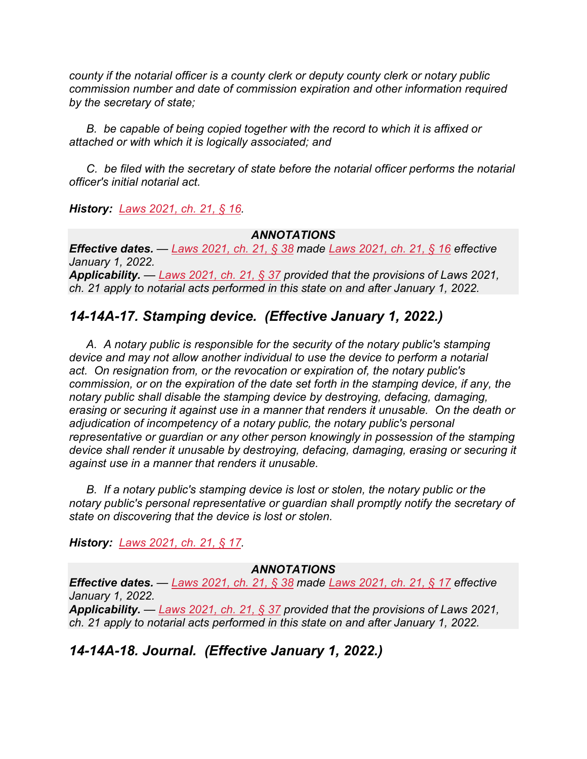*county if the notarial officer is a county clerk or deputy county clerk or notary public commission number and date of commission expiration and other information required by the secretary of state;*

*B. be capable of being copied together with the record to which it is affixed or attached or with which it is logically associated; and*

*C. be filed with the secretary of state before the notarial officer performs the notarial officer's initial notarial act.*

*History: [Laws 2021, ch. 21, § 16.](https://nmonesource.com/nmos/nmsl/en/item/18129/index.do#!b/c21s16)*

#### *ANNOTATIONS*

*Effective dates. — [Laws 2021, ch. 21, § 38](https://nmonesource.com/nmos/nmsl/en/item/18129/index.do#!b/c21s38) made [Laws 2021, ch. 21, § 16](https://nmonesource.com/nmos/nmsl/en/item/18129/index.do#!b/c21s16) effective January 1, 2022. Applicability. — [Laws 2021, ch. 21, § 37](https://nmonesource.com/nmos/nmsl/en/item/18129/index.do#!b/c21s37) provided that the provisions of Laws 2021, ch. 21 apply to notarial acts performed in this state on and after January 1, 2022.*

## *14-14A-17. Stamping device. (Effective January 1, 2022.)*

*A. A notary public is responsible for the security of the notary public's stamping device and may not allow another individual to use the device to perform a notarial act. On resignation from, or the revocation or expiration of, the notary public's commission, or on the expiration of the date set forth in the stamping device, if any, the notary public shall disable the stamping device by destroying, defacing, damaging, erasing or securing it against use in a manner that renders it unusable. On the death or adjudication of incompetency of a notary public, the notary public's personal representative or guardian or any other person knowingly in possession of the stamping device shall render it unusable by destroying, defacing, damaging, erasing or securing it against use in a manner that renders it unusable.*

*B. If a notary public's stamping device is lost or stolen, the notary public or the notary public's personal representative or guardian shall promptly notify the secretary of state on discovering that the device is lost or stolen.*

*History: [Laws 2021, ch. 21, § 17.](https://nmonesource.com/nmos/nmsl/en/item/18129/index.do#!b/c21s17)*

#### *ANNOTATIONS*

*Effective dates. — [Laws 2021, ch. 21, § 38](https://nmonesource.com/nmos/nmsl/en/item/18129/index.do#!b/c21s38) made [Laws 2021, ch. 21, § 17](https://nmonesource.com/nmos/nmsl/en/item/18129/index.do#!b/c21s17) effective January 1, 2022. Applicability. — [Laws 2021, ch. 21, § 37](https://nmonesource.com/nmos/nmsl/en/item/18129/index.do#!b/c21s37) provided that the provisions of Laws 2021, ch. 21 apply to notarial acts performed in this state on and after January 1, 2022.*

## *14-14A-18. Journal. (Effective January 1, 2022.)*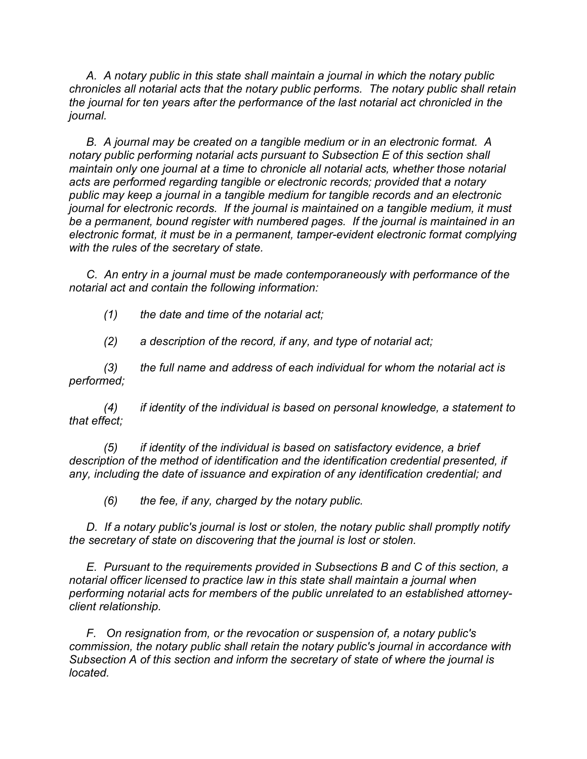*A. A notary public in this state shall maintain a journal in which the notary public chronicles all notarial acts that the notary public performs. The notary public shall retain the journal for ten years after the performance of the last notarial act chronicled in the journal.*

*B. A journal may be created on a tangible medium or in an electronic format. A notary public performing notarial acts pursuant to Subsection E of this section shall maintain only one journal at a time to chronicle all notarial acts, whether those notarial acts are performed regarding tangible or electronic records; provided that a notary public may keep a journal in a tangible medium for tangible records and an electronic journal for electronic records. If the journal is maintained on a tangible medium, it must be a permanent, bound register with numbered pages. If the journal is maintained in an electronic format, it must be in a permanent, tamper-evident electronic format complying with the rules of the secretary of state.*

*C. An entry in a journal must be made contemporaneously with performance of the notarial act and contain the following information:*

*(1) the date and time of the notarial act;*

*(2) a description of the record, if any, and type of notarial act;*

*(3) the full name and address of each individual for whom the notarial act is performed;*

*(4) if identity of the individual is based on personal knowledge, a statement to that effect;*

*(5) if identity of the individual is based on satisfactory evidence, a brief*  description of the method of identification and the identification credential presented, if *any, including the date of issuance and expiration of any identification credential; and*

*(6) the fee, if any, charged by the notary public.*

*D. If a notary public's journal is lost or stolen, the notary public shall promptly notify the secretary of state on discovering that the journal is lost or stolen.*

*E. Pursuant to the requirements provided in Subsections B and C of this section, a notarial officer licensed to practice law in this state shall maintain a journal when performing notarial acts for members of the public unrelated to an established attorneyclient relationship.*

*F. On resignation from, or the revocation or suspension of, a notary public's commission, the notary public shall retain the notary public's journal in accordance with Subsection A of this section and inform the secretary of state of where the journal is located.*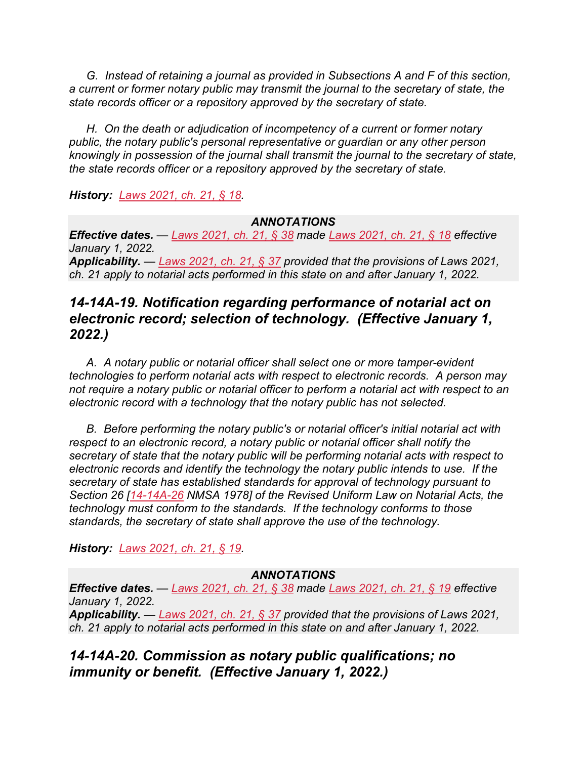*G. Instead of retaining a journal as provided in Subsections A and F of this section, a current or former notary public may transmit the journal to the secretary of state, the state records officer or a repository approved by the secretary of state.*

*H. On the death or adjudication of incompetency of a current or former notary public, the notary public's personal representative or guardian or any other person knowingly in possession of the journal shall transmit the journal to the secretary of state, the state records officer or a repository approved by the secretary of state.*

*History: [Laws 2021, ch. 21, § 18.](https://nmonesource.com/nmos/nmsl/en/item/18129/index.do#!b/c21s18)*

#### *ANNOTATIONS*

*Effective dates. — [Laws 2021, ch. 21, § 38](https://nmonesource.com/nmos/nmsl/en/item/18129/index.do#!b/c21s38) made [Laws 2021, ch. 21, § 18](https://nmonesource.com/nmos/nmsl/en/item/18129/index.do#!b/c21s18) effective January 1, 2022. Applicability. — [Laws 2021, ch. 21, § 37](https://nmonesource.com/nmos/nmsl/en/item/18129/index.do#!b/c21s37) provided that the provisions of Laws 2021,* 

*ch. 21 apply to notarial acts performed in this state on and after January 1, 2022.*

## *14-14A-19. Notification regarding performance of notarial act on electronic record; selection of technology. (Effective January 1, 2022.)*

*A. A notary public or notarial officer shall select one or more tamper-evident technologies to perform notarial acts with respect to electronic records. A person may not require a notary public or notarial officer to perform a notarial act with respect to an electronic record with a technology that the notary public has not selected.*

*B. Before performing the notary public's or notarial officer's initial notarial act with respect to an electronic record, a notary public or notarial officer shall notify the secretary of state that the notary public will be performing notarial acts with respect to electronic records and identify the technology the notary public intends to use. If the secretary of state has established standards for approval of technology pursuant to Section 26 [\[14-14A-26](https://nmonesource.com/nmos/nmsa/en/item/4383/index.do#!b/14-14A-26) NMSA 1978] of the Revised Uniform Law on Notarial Acts, the technology must conform to the standards. If the technology conforms to those standards, the secretary of state shall approve the use of the technology.*

*History: [Laws 2021, ch. 21, § 19.](https://nmonesource.com/nmos/nmsl/en/item/18129/index.do#!b/c21s19)*

#### *ANNOTATIONS*

*Effective dates. — [Laws 2021, ch. 21, § 38](https://nmonesource.com/nmos/nmsl/en/item/18129/index.do#!b/c21s38) made [Laws 2021, ch. 21, § 19](https://nmonesource.com/nmos/nmsl/en/item/18129/index.do#!b/c21s19) effective January 1, 2022.*

*Applicability. — [Laws 2021, ch. 21, § 37](https://nmonesource.com/nmos/nmsl/en/item/18129/index.do#!b/c21s37) provided that the provisions of Laws 2021, ch. 21 apply to notarial acts performed in this state on and after January 1, 2022.*

*14-14A-20. Commission as notary public qualifications; no immunity or benefit. (Effective January 1, 2022.)*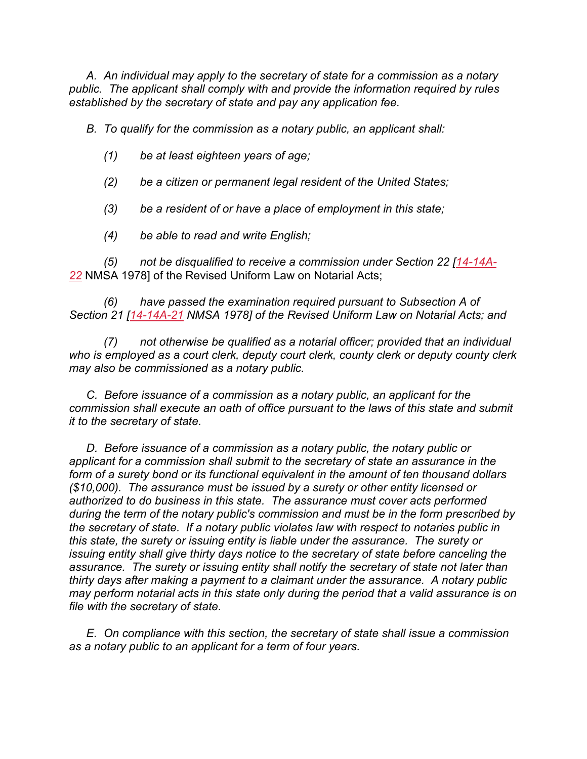*A. An individual may apply to the secretary of state for a commission as a notary public. The applicant shall comply with and provide the information required by rules established by the secretary of state and pay any application fee.*

*B. To qualify for the commission as a notary public, an applicant shall:*

- *(1) be at least eighteen years of age;*
- *(2) be a citizen or permanent legal resident of the United States;*
- *(3) be a resident of or have a place of employment in this state;*
- *(4) be able to read and write English;*

*(5) not be disqualified to receive a commission under Section 22 [\[14-14A-](https://nmonesource.com/nmos/nmsa/en/item/4383/index.do#!b/14-14A-22)[22](https://nmonesource.com/nmos/nmsa/en/item/4383/index.do#!b/14-14A-22)* NMSA 1978] of the Revised Uniform Law on Notarial Acts;

*(6) have passed the examination required pursuant to Subsection A of Section 21 [\[14-14A-21](https://nmonesource.com/nmos/nmsa/en/item/4383/index.do#!b/14-14A-21) NMSA 1978] of the Revised Uniform Law on Notarial Acts; and*

*(7) not otherwise be qualified as a notarial officer; provided that an individual who is employed as a court clerk, deputy court clerk, county clerk or deputy county clerk may also be commissioned as a notary public.*

*C. Before issuance of a commission as a notary public, an applicant for the commission shall execute an oath of office pursuant to the laws of this state and submit it to the secretary of state.*

*D. Before issuance of a commission as a notary public, the notary public or applicant for a commission shall submit to the secretary of state an assurance in the form of a surety bond or its functional equivalent in the amount of ten thousand dollars (\$10,000). The assurance must be issued by a surety or other entity licensed or authorized to do business in this state. The assurance must cover acts performed during the term of the notary public's commission and must be in the form prescribed by the secretary of state. If a notary public violates law with respect to notaries public in this state, the surety or issuing entity is liable under the assurance. The surety or issuing entity shall give thirty days notice to the secretary of state before canceling the assurance. The surety or issuing entity shall notify the secretary of state not later than thirty days after making a payment to a claimant under the assurance. A notary public may perform notarial acts in this state only during the period that a valid assurance is on file with the secretary of state.*

*E. On compliance with this section, the secretary of state shall issue a commission as a notary public to an applicant for a term of four years.*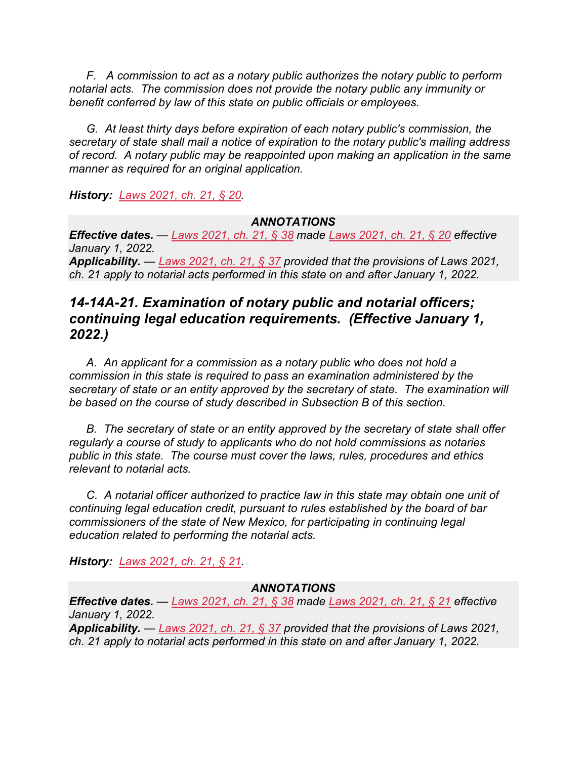*F. A commission to act as a notary public authorizes the notary public to perform notarial acts. The commission does not provide the notary public any immunity or benefit conferred by law of this state on public officials or employees.*

*G. At least thirty days before expiration of each notary public's commission, the secretary of state shall mail a notice of expiration to the notary public's mailing address of record. A notary public may be reappointed upon making an application in the same manner as required for an original application.*

*History: [Laws 2021, ch. 21, § 20.](https://nmonesource.com/nmos/nmsl/en/item/18129/index.do#!b/c21s20)*

#### *ANNOTATIONS*

*Effective dates. — [Laws 2021, ch. 21, § 38](https://nmonesource.com/nmos/nmsl/en/item/18129/index.do#!b/c21s38) made [Laws 2021, ch. 21, § 20](https://nmonesource.com/nmos/nmsl/en/item/18129/index.do#!b/c21s20) effective January 1, 2022. Applicability. — [Laws 2021, ch. 21, § 37](https://nmonesource.com/nmos/nmsl/en/item/18129/index.do#!b/c21s37) provided that the provisions of Laws 2021,* 

*ch. 21 apply to notarial acts performed in this state on and after January 1, 2022.*

## *14-14A-21. Examination of notary public and notarial officers; continuing legal education requirements. (Effective January 1, 2022.)*

*A. An applicant for a commission as a notary public who does not hold a commission in this state is required to pass an examination administered by the secretary of state or an entity approved by the secretary of state. The examination will be based on the course of study described in Subsection B of this section.*

*B. The secretary of state or an entity approved by the secretary of state shall offer regularly a course of study to applicants who do not hold commissions as notaries public in this state. The course must cover the laws, rules, procedures and ethics relevant to notarial acts.*

*C. A notarial officer authorized to practice law in this state may obtain one unit of continuing legal education credit, pursuant to rules established by the board of bar commissioners of the state of New Mexico, for participating in continuing legal education related to performing the notarial acts.*

*History: [Laws 2021, ch. 21, § 21.](https://nmonesource.com/nmos/nmsl/en/item/18129/index.do#!b/c21s21)*

#### *ANNOTATIONS*

*Effective dates. — [Laws 2021, ch. 21, § 38](https://nmonesource.com/nmos/nmsl/en/item/18129/index.do#!b/c21s38) made [Laws 2021, ch. 21, § 21](https://nmonesource.com/nmos/nmsl/en/item/18129/index.do#!b/c21s21) effective January 1, 2022.*

*Applicability. — [Laws 2021, ch. 21, § 37](https://nmonesource.com/nmos/nmsl/en/item/18129/index.do#!b/c21s37) provided that the provisions of Laws 2021, ch. 21 apply to notarial acts performed in this state on and after January 1, 2022.*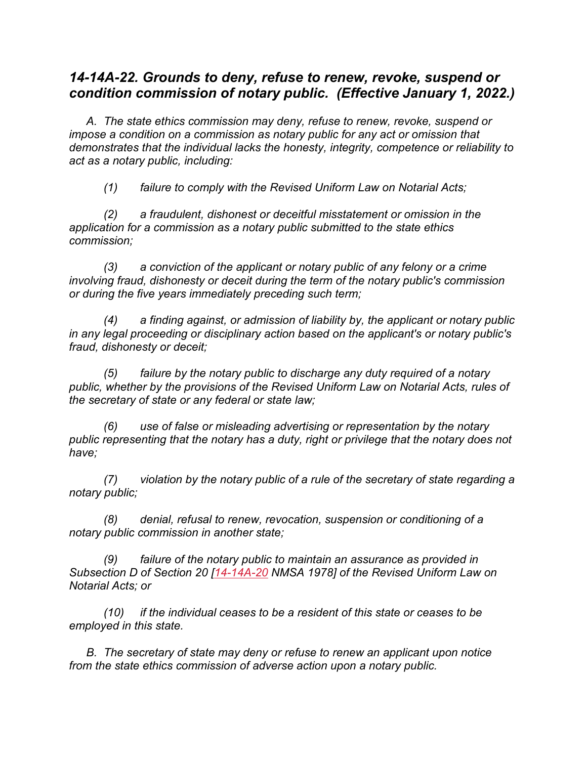## *14-14A-22. Grounds to deny, refuse to renew, revoke, suspend or condition commission of notary public. (Effective January 1, 2022.)*

*A. The state ethics commission may deny, refuse to renew, revoke, suspend or impose a condition on a commission as notary public for any act or omission that demonstrates that the individual lacks the honesty, integrity, competence or reliability to act as a notary public, including:*

*(1) failure to comply with the Revised Uniform Law on Notarial Acts;*

*(2) a fraudulent, dishonest or deceitful misstatement or omission in the application for a commission as a notary public submitted to the state ethics commission;*

*(3) a conviction of the applicant or notary public of any felony or a crime involving fraud, dishonesty or deceit during the term of the notary public's commission or during the five years immediately preceding such term;*

*(4) a finding against, or admission of liability by, the applicant or notary public in any legal proceeding or disciplinary action based on the applicant's or notary public's fraud, dishonesty or deceit;*

*(5) failure by the notary public to discharge any duty required of a notary public, whether by the provisions of the Revised Uniform Law on Notarial Acts, rules of the secretary of state or any federal or state law;*

*(6) use of false or misleading advertising or representation by the notary public representing that the notary has a duty, right or privilege that the notary does not have;*

*(7) violation by the notary public of a rule of the secretary of state regarding a notary public;*

*(8) denial, refusal to renew, revocation, suspension or conditioning of a notary public commission in another state;*

*(9) failure of the notary public to maintain an assurance as provided in Subsection D of Section 20 [\[14-14A-20](https://nmonesource.com/nmos/nmsa/en/item/4383/index.do#!b/14-14A-20) NMSA 1978] of the Revised Uniform Law on Notarial Acts; or*

*(10) if the individual ceases to be a resident of this state or ceases to be employed in this state.*

*B. The secretary of state may deny or refuse to renew an applicant upon notice from the state ethics commission of adverse action upon a notary public.*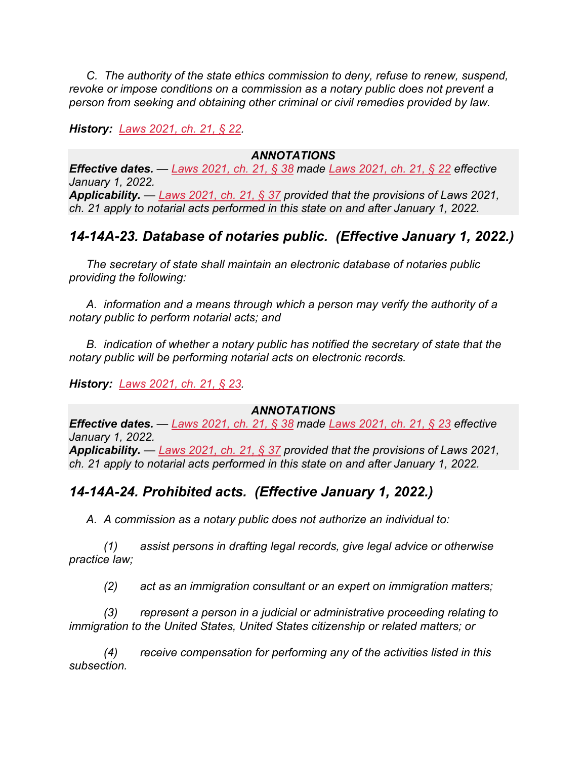*C. The authority of the state ethics commission to deny, refuse to renew, suspend, revoke or impose conditions on a commission as a notary public does not prevent a person from seeking and obtaining other criminal or civil remedies provided by law.*

*History: [Laws 2021, ch. 21, § 22.](https://nmonesource.com/nmos/nmsl/en/item/18129/index.do#!b/c21s22)*

#### *ANNOTATIONS*

*Effective dates. — [Laws 2021, ch. 21, § 38](https://nmonesource.com/nmos/nmsl/en/item/18129/index.do#!b/c21s38) made [Laws 2021, ch. 21, § 22](https://nmonesource.com/nmos/nmsl/en/item/18129/index.do#!b/c21s22) effective January 1, 2022. Applicability. — [Laws 2021, ch. 21, § 37](https://nmonesource.com/nmos/nmsl/en/item/18129/index.do#!b/c21s37) provided that the provisions of Laws 2021, ch. 21 apply to notarial acts performed in this state on and after January 1, 2022.*

## *14-14A-23. Database of notaries public. (Effective January 1, 2022.)*

*The secretary of state shall maintain an electronic database of notaries public providing the following:*

*A. information and a means through which a person may verify the authority of a notary public to perform notarial acts; and*

*B. indication of whether a notary public has notified the secretary of state that the notary public will be performing notarial acts on electronic records.*

*History: [Laws 2021, ch. 21, § 23.](https://nmonesource.com/nmos/nmsl/en/item/18129/index.do#!b/c21s23)*

#### *ANNOTATIONS*

*Effective dates. — [Laws 2021, ch. 21, § 38](https://nmonesource.com/nmos/nmsl/en/item/18129/index.do#!b/c21s38) made [Laws 2021, ch. 21, § 23](https://nmonesource.com/nmos/nmsl/en/item/18129/index.do#!b/c21s23) effective January 1, 2022. Applicability. — [Laws 2021, ch. 21, § 37](https://nmonesource.com/nmos/nmsl/en/item/18129/index.do#!b/c21s37) provided that the provisions of Laws 2021, ch. 21 apply to notarial acts performed in this state on and after January 1, 2022.*

## *14-14A-24. Prohibited acts. (Effective January 1, 2022.)*

*A. A commission as a notary public does not authorize an individual to:*

*(1) assist persons in drafting legal records, give legal advice or otherwise practice law;*

*(2) act as an immigration consultant or an expert on immigration matters;*

*(3) represent a person in a judicial or administrative proceeding relating to immigration to the United States, United States citizenship or related matters; or*

*(4) receive compensation for performing any of the activities listed in this subsection.*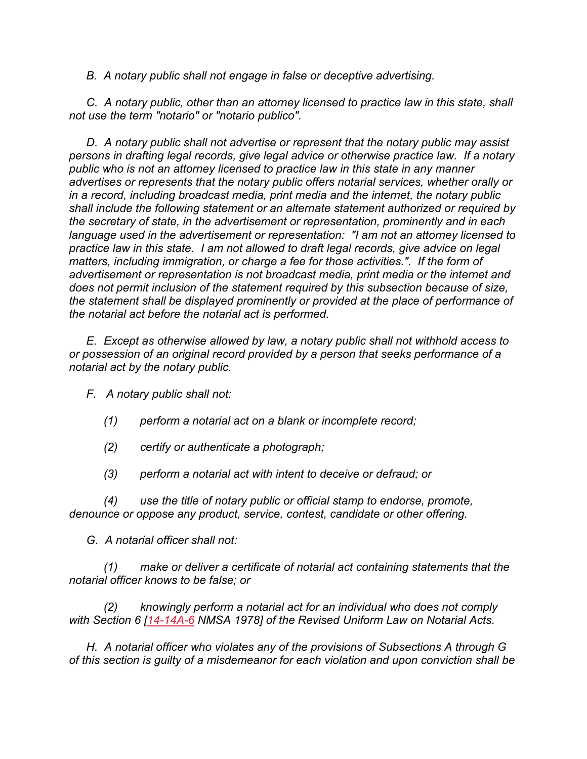*B. A notary public shall not engage in false or deceptive advertising.*

*C. A notary public, other than an attorney licensed to practice law in this state, shall not use the term "notario" or "notario publico".*

*D. A notary public shall not advertise or represent that the notary public may assist persons in drafting legal records, give legal advice or otherwise practice law. If a notary public who is not an attorney licensed to practice law in this state in any manner advertises or represents that the notary public offers notarial services, whether orally or in a record, including broadcast media, print media and the internet, the notary public shall include the following statement or an alternate statement authorized or required by the secretary of state, in the advertisement or representation, prominently and in each language used in the advertisement or representation: "I am not an attorney licensed to practice law in this state. I am not allowed to draft legal records, give advice on legal matters, including immigration, or charge a fee for those activities.". If the form of advertisement or representation is not broadcast media, print media or the internet and does not permit inclusion of the statement required by this subsection because of size, the statement shall be displayed prominently or provided at the place of performance of the notarial act before the notarial act is performed.*

*E. Except as otherwise allowed by law, a notary public shall not withhold access to or possession of an original record provided by a person that seeks performance of a notarial act by the notary public.*

*F. A notary public shall not:*

- *(1) perform a notarial act on a blank or incomplete record;*
- *(2) certify or authenticate a photograph;*
- *(3) perform a notarial act with intent to deceive or defraud; or*

*(4) use the title of notary public or official stamp to endorse, promote, denounce or oppose any product, service, contest, candidate or other offering.*

*G. A notarial officer shall not:*

*(1) make or deliver a certificate of notarial act containing statements that the notarial officer knows to be false; or*

*(2) knowingly perform a notarial act for an individual who does not comply with Section 6 [\[14-14A-6](https://nmonesource.com/nmos/nmsa/en/item/4383/index.do#!b/14-14A-6) NMSA 1978] of the Revised Uniform Law on Notarial Acts.*

*H. A notarial officer who violates any of the provisions of Subsections A through G of this section is guilty of a misdemeanor for each violation and upon conviction shall be*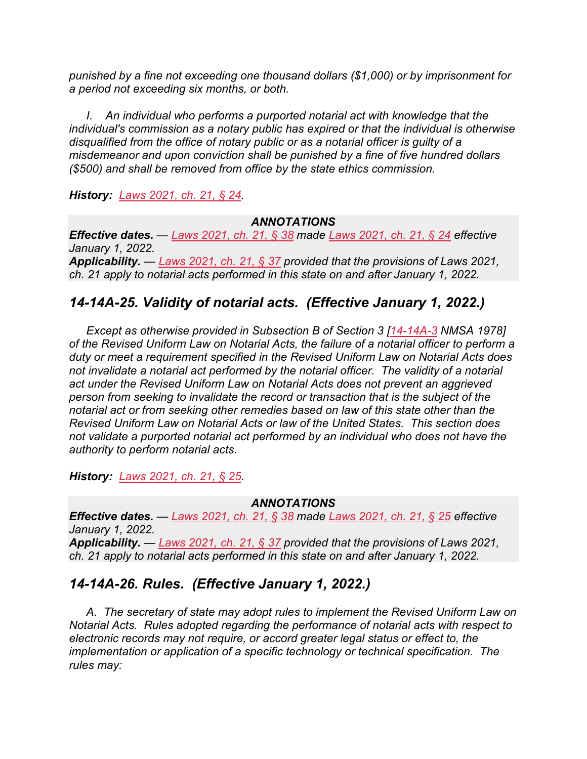*punished by a fine not exceeding one thousand dollars (\$1,000) or by imprisonment for a period not exceeding six months, or both.*

*I. An individual who performs a purported notarial act with knowledge that the individual's commission as a notary public has expired or that the individual is otherwise disqualified from the office of notary public or as a notarial officer is guilty of a misdemeanor and upon conviction shall be punished by a fine of five hundred dollars (\$500) and shall be removed from office by the state ethics commission.*

*History: [Laws 2021, ch. 21, § 24.](https://nmonesource.com/nmos/nmsl/en/item/18129/index.do#!b/c21s24)*

#### *ANNOTATIONS*

*Effective dates. — [Laws 2021, ch. 21, § 38](https://nmonesource.com/nmos/nmsl/en/item/18129/index.do#!b/c21s38) made [Laws 2021, ch. 21, § 24](https://nmonesource.com/nmos/nmsl/en/item/18129/index.do#!b/c21s24) effective January 1, 2022. Applicability. — [Laws 2021, ch. 21, § 37](https://nmonesource.com/nmos/nmsl/en/item/18129/index.do#!b/c21s37) provided that the provisions of Laws 2021, ch. 21 apply to notarial acts performed in this state on and after January 1, 2022.*

## *14-14A-25. Validity of notarial acts. (Effective January 1, 2022.)*

*Except as otherwise provided in Subsection B of Section 3 [\[14-14A-3](https://nmonesource.com/nmos/nmsa/en/item/4383/index.do#!b/14-14A-3) NMSA 1978] of the Revised Uniform Law on Notarial Acts, the failure of a notarial officer to perform a duty or meet a requirement specified in the Revised Uniform Law on Notarial Acts does not invalidate a notarial act performed by the notarial officer. The validity of a notarial act under the Revised Uniform Law on Notarial Acts does not prevent an aggrieved person from seeking to invalidate the record or transaction that is the subject of the notarial act or from seeking other remedies based on law of this state other than the Revised Uniform Law on Notarial Acts or law of the United States. This section does not validate a purported notarial act performed by an individual who does not have the authority to perform notarial acts.*

*History: [Laws 2021, ch. 21, § 25.](https://nmonesource.com/nmos/nmsl/en/item/18129/index.do#!b/c21s25)*

#### *ANNOTATIONS*

*Effective dates. — [Laws 2021, ch. 21, § 38](https://nmonesource.com/nmos/nmsl/en/item/18129/index.do#!b/c21s38) made [Laws 2021, ch. 21, § 25](https://nmonesource.com/nmos/nmsl/en/item/18129/index.do#!b/c21s25) effective January 1, 2022. Applicability. — [Laws 2021, ch. 21, § 37](https://nmonesource.com/nmos/nmsl/en/item/18129/index.do#!b/c21s37) provided that the provisions of Laws 2021, ch. 21 apply to notarial acts performed in this state on and after January 1, 2022.*

## *14-14A-26. Rules. (Effective January 1, 2022.)*

*A. The secretary of state may adopt rules to implement the Revised Uniform Law on Notarial Acts. Rules adopted regarding the performance of notarial acts with respect to electronic records may not require, or accord greater legal status or effect to, the implementation or application of a specific technology or technical specification. The rules may:*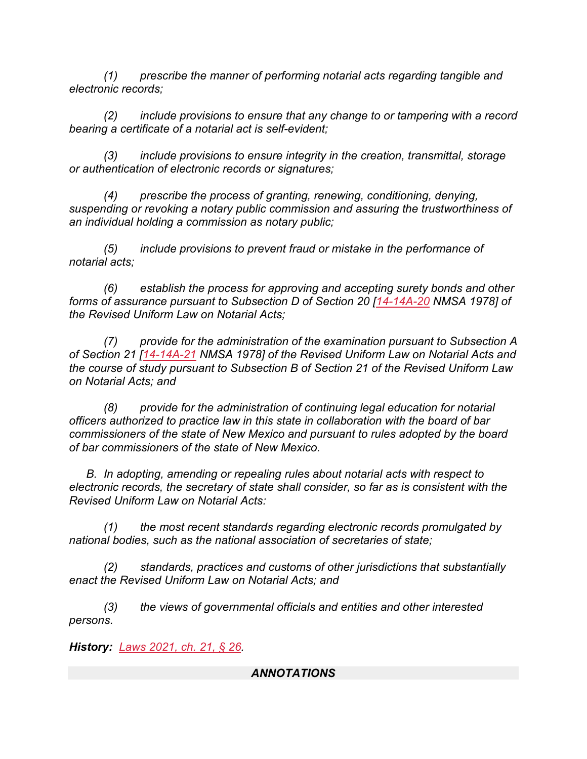*(1) prescribe the manner of performing notarial acts regarding tangible and electronic records;*

*(2) include provisions to ensure that any change to or tampering with a record bearing a certificate of a notarial act is self-evident;*

*(3) include provisions to ensure integrity in the creation, transmittal, storage or authentication of electronic records or signatures;*

*(4) prescribe the process of granting, renewing, conditioning, denying, suspending or revoking a notary public commission and assuring the trustworthiness of an individual holding a commission as notary public;*

*(5) include provisions to prevent fraud or mistake in the performance of notarial acts;*

*(6) establish the process for approving and accepting surety bonds and other forms of assurance pursuant to Subsection D of Section 20 [\[14-14A-20](https://nmonesource.com/nmos/nmsa/en/item/4383/index.do#!b/14-14A-20) NMSA 1978] of the Revised Uniform Law on Notarial Acts;*

*(7) provide for the administration of the examination pursuant to Subsection A of Section 21 [\[14-14A-21](https://nmonesource.com/nmos/nmsa/en/item/4383/index.do#!b/14-14A-21) NMSA 1978] of the Revised Uniform Law on Notarial Acts and the course of study pursuant to Subsection B of Section 21 of the Revised Uniform Law on Notarial Acts; and*

*(8) provide for the administration of continuing legal education for notarial officers authorized to practice law in this state in collaboration with the board of bar commissioners of the state of New Mexico and pursuant to rules adopted by the board of bar commissioners of the state of New Mexico.*

*B. In adopting, amending or repealing rules about notarial acts with respect to electronic records, the secretary of state shall consider, so far as is consistent with the Revised Uniform Law on Notarial Acts:*

*(1) the most recent standards regarding electronic records promulgated by national bodies, such as the national association of secretaries of state;*

*(2) standards, practices and customs of other jurisdictions that substantially enact the Revised Uniform Law on Notarial Acts; and*

*(3) the views of governmental officials and entities and other interested persons.*

*History: [Laws 2021, ch. 21, § 26.](https://nmonesource.com/nmos/nmsl/en/item/18129/index.do#!b/c21s26)*

#### *ANNOTATIONS*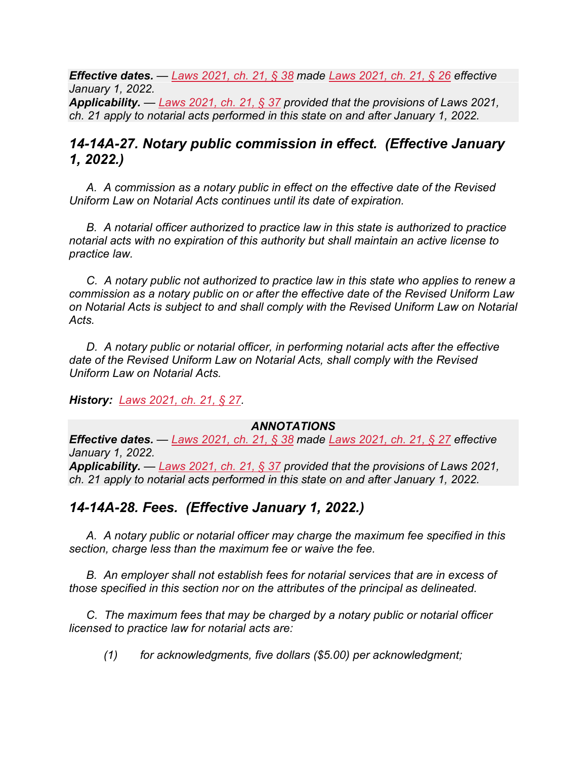*Effective dates. — [Laws 2021, ch. 21, § 38](https://nmonesource.com/nmos/nmsl/en/item/18129/index.do#!b/c21s38) made [Laws 2021, ch. 21, § 26](https://nmonesource.com/nmos/nmsl/en/item/18129/index.do#!b/c21s26) effective January 1, 2022. Applicability. — [Laws 2021, ch. 21, § 37](https://nmonesource.com/nmos/nmsl/en/item/18129/index.do#!b/c21s37) provided that the provisions of Laws 2021, ch. 21 apply to notarial acts performed in this state on and after January 1, 2022.*

## *14-14A-27. Notary public commission in effect. (Effective January 1, 2022.)*

*A. A commission as a notary public in effect on the effective date of the Revised Uniform Law on Notarial Acts continues until its date of expiration.*

*B. A notarial officer authorized to practice law in this state is authorized to practice notarial acts with no expiration of this authority but shall maintain an active license to practice law.*

*C. A notary public not authorized to practice law in this state who applies to renew a commission as a notary public on or after the effective date of the Revised Uniform Law on Notarial Acts is subject to and shall comply with the Revised Uniform Law on Notarial Acts.*

*D. A notary public or notarial officer, in performing notarial acts after the effective date of the Revised Uniform Law on Notarial Acts, shall comply with the Revised Uniform Law on Notarial Acts.*

*History: [Laws 2021, ch. 21, § 27.](https://nmonesource.com/nmos/nmsl/en/item/18129/index.do#!b/c21s27)*

#### *ANNOTATIONS*

*Effective dates. — [Laws 2021, ch. 21, § 38](https://nmonesource.com/nmos/nmsl/en/item/18129/index.do#!b/c21s38) made [Laws 2021, ch. 21, § 27](https://nmonesource.com/nmos/nmsl/en/item/18129/index.do#!b/c21s27) effective January 1, 2022. Applicability. — [Laws 2021, ch. 21, § 37](https://nmonesource.com/nmos/nmsl/en/item/18129/index.do#!b/c21s37) provided that the provisions of Laws 2021, ch. 21 apply to notarial acts performed in this state on and after January 1, 2022.*

## *14-14A-28. Fees. (Effective January 1, 2022.)*

*A. A notary public or notarial officer may charge the maximum fee specified in this section, charge less than the maximum fee or waive the fee.*

*B. An employer shall not establish fees for notarial services that are in excess of those specified in this section nor on the attributes of the principal as delineated.*

*C. The maximum fees that may be charged by a notary public or notarial officer licensed to practice law for notarial acts are:*

*(1) for acknowledgments, five dollars (\$5.00) per acknowledgment;*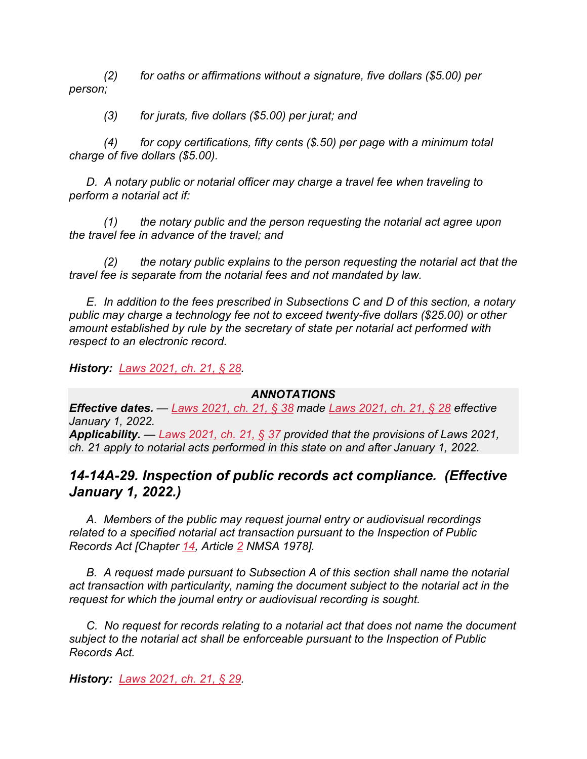*(2) for oaths or affirmations without a signature, five dollars (\$5.00) per person;*

*(3) for jurats, five dollars (\$5.00) per jurat; and*

*(4) for copy certifications, fifty cents (\$.50) per page with a minimum total charge of five dollars (\$5.00).*

*D. A notary public or notarial officer may charge a travel fee when traveling to perform a notarial act if:*

*(1) the notary public and the person requesting the notarial act agree upon the travel fee in advance of the travel; and*

*(2) the notary public explains to the person requesting the notarial act that the travel fee is separate from the notarial fees and not mandated by law.*

*E. In addition to the fees prescribed in Subsections C and D of this section, a notary public may charge a technology fee not to exceed twenty-five dollars (\$25.00) or other amount established by rule by the secretary of state per notarial act performed with respect to an electronic record.*

*History: [Laws 2021, ch. 21, § 28.](https://nmonesource.com/nmos/nmsl/en/item/18129/index.do#!b/c21s28)*

#### *ANNOTATIONS*

*Effective dates. — [Laws 2021, ch. 21, § 38](https://nmonesource.com/nmos/nmsl/en/item/18129/index.do#!b/c21s38) made [Laws 2021, ch. 21, § 28](https://nmonesource.com/nmos/nmsl/en/item/18129/index.do#!b/c21s28) effective January 1, 2022. Applicability. — [Laws 2021, ch. 21, § 37](https://nmonesource.com/nmos/nmsl/en/item/18129/index.do#!b/c21s37) provided that the provisions of Laws 2021, ch. 21 apply to notarial acts performed in this state on and after January 1, 2022.*

## *14-14A-29. Inspection of public records act compliance. (Effective January 1, 2022.)*

*A. Members of the public may request journal entry or audiovisual recordings related to a specified notarial act transaction pursuant to the Inspection of Public Records Act [Chapter [14,](https://nmonesource.com/nmos/nmsa/en/item/4383/index.do#!b/a2) Article [2](https://nmonesource.com/nmos/nmsa/en/item/4383/index.do#!b/a2) NMSA 1978].*

*B. A request made pursuant to Subsection A of this section shall name the notarial act transaction with particularity, naming the document subject to the notarial act in the request for which the journal entry or audiovisual recording is sought.*

*C. No request for records relating to a notarial act that does not name the document subject to the notarial act shall be enforceable pursuant to the Inspection of Public Records Act.*

*History: [Laws 2021, ch. 21, § 29.](https://nmonesource.com/nmos/nmsl/en/item/18129/index.do#!b/c21s29)*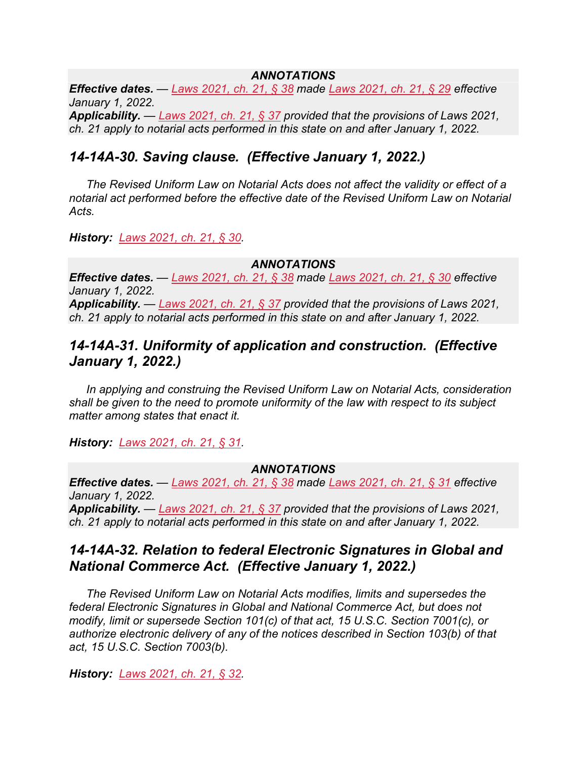#### *ANNOTATIONS*

*Effective dates. — [Laws 2021, ch. 21, § 38](https://nmonesource.com/nmos/nmsl/en/item/18129/index.do#!b/c21s38) made [Laws 2021, ch. 21, § 29](https://nmonesource.com/nmos/nmsl/en/item/18129/index.do#!b/c21s29) effective January 1, 2022.*

*Applicability. — [Laws 2021, ch. 21, § 37](https://nmonesource.com/nmos/nmsl/en/item/18129/index.do#!b/c21s37) provided that the provisions of Laws 2021, ch. 21 apply to notarial acts performed in this state on and after January 1, 2022.*

## *14-14A-30. Saving clause. (Effective January 1, 2022.)*

*The Revised Uniform Law on Notarial Acts does not affect the validity or effect of a notarial act performed before the effective date of the Revised Uniform Law on Notarial Acts.*

*History: [Laws 2021, ch. 21, § 30.](https://nmonesource.com/nmos/nmsl/en/item/18129/index.do#!b/c21s30)*

#### *ANNOTATIONS*

*Effective dates. — [Laws 2021, ch. 21, § 38](https://nmonesource.com/nmos/nmsl/en/item/18129/index.do#!b/c21s38) made [Laws 2021, ch. 21, § 30](https://nmonesource.com/nmos/nmsl/en/item/18129/index.do#!b/c21s30) effective January 1, 2022.*

*Applicability. — [Laws 2021, ch. 21, § 37](https://nmonesource.com/nmos/nmsl/en/item/18129/index.do#!b/c21s37) provided that the provisions of Laws 2021, ch. 21 apply to notarial acts performed in this state on and after January 1, 2022.*

## *14-14A-31. Uniformity of application and construction. (Effective January 1, 2022.)*

*In applying and construing the Revised Uniform Law on Notarial Acts, consideration shall be given to the need to promote uniformity of the law with respect to its subject matter among states that enact it.*

*History: [Laws 2021, ch. 21, § 31.](https://nmonesource.com/nmos/nmsl/en/item/18129/index.do#!b/c21s31)*

#### *ANNOTATIONS*

*Effective dates. — [Laws 2021, ch. 21, § 38](https://nmonesource.com/nmos/nmsl/en/item/18129/index.do#!b/c21s38) made [Laws 2021, ch. 21, § 31](https://nmonesource.com/nmos/nmsl/en/item/18129/index.do#!b/c21s31) effective January 1, 2022. Applicability. — [Laws 2021, ch. 21, § 37](https://nmonesource.com/nmos/nmsl/en/item/18129/index.do#!b/c21s37) provided that the provisions of Laws 2021, ch. 21 apply to notarial acts performed in this state on and after January 1, 2022.*

## *14-14A-32. Relation to federal Electronic Signatures in Global and National Commerce Act. (Effective January 1, 2022.)*

*The Revised Uniform Law on Notarial Acts modifies, limits and supersedes the federal Electronic Signatures in Global and National Commerce Act, but does not modify, limit or supersede Section 101(c) of that act, 15 U.S.C. Section 7001(c), or authorize electronic delivery of any of the notices described in Section 103(b) of that act, 15 U.S.C. Section 7003(b).*

*History: [Laws 2021, ch. 21, § 32.](https://nmonesource.com/nmos/nmsl/en/item/18129/index.do#!b/c21s32)*